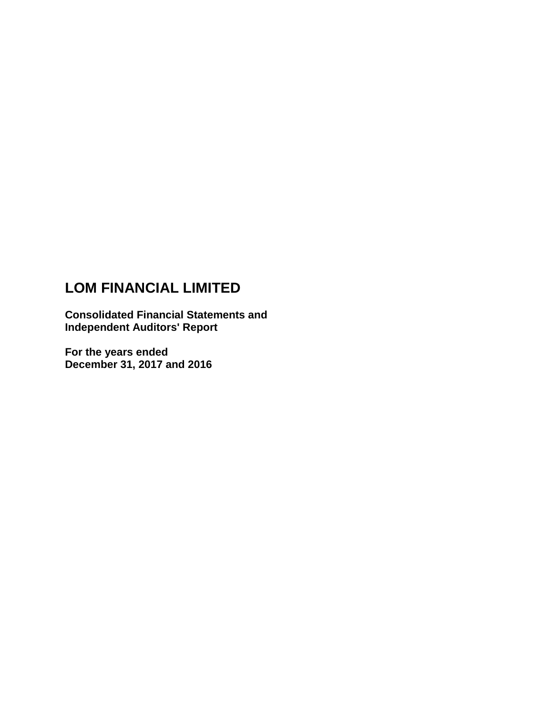# **LOM FINANCIAL LIMITED**

**Consolidated Financial Statements and Independent Auditors' Report**

**For the years ended December 31, 2017 and 2016**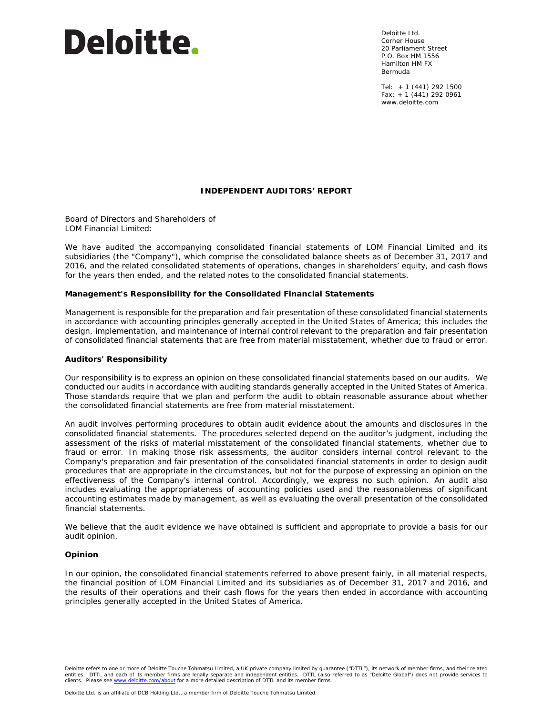# Deloitte.

Deloitte Ltd. Corner House 20 Parliament Street P.O. Box HM 1556 Hamilton HM FX Bermuda

Tel: + 1 (441) 292 1500 Fax: + 1 (441) 292 0961 www.deloitte.com

#### **INDEPENDENT AUDITORS' REPORT**

Board of Directors and Shareholders of LOM Financial Limited:

We have audited the accompanying consolidated financial statements of LOM Financial Limited and its subsidiaries (the "Company"), which comprise the consolidated balance sheets as of December 31, 2017 and 2016, and the related consolidated statements of operations, changes in shareholders' equity, and cash flows for the years then ended, and the related notes to the consolidated financial statements.

#### **Management's Responsibility for the Consolidated Financial Statements**

Management is responsible for the preparation and fair presentation of these consolidated financial statements in accordance with accounting principles generally accepted in the United States of America; this includes the design, implementation, and maintenance of internal control relevant to the preparation and fair presentation of consolidated financial statements that are free from material misstatement, whether due to fraud or error.

#### **Auditors' Responsibility**

Our responsibility is to express an opinion on these consolidated financial statements based on our audits. We conducted our audits in accordance with auditing standards generally accepted in the United States of America. Those standards require that we plan and perform the audit to obtain reasonable assurance about whether the consolidated financial statements are free from material misstatement.

An audit involves performing procedures to obtain audit evidence about the amounts and disclosures in the consolidated financial statements. The procedures selected depend on the auditor's judgment, including the assessment of the risks of material misstatement of the consolidated financial statements, whether due to fraud or error. In making those risk assessments, the auditor considers internal control relevant to the Company's preparation and fair presentation of the consolidated financial statements in order to design audit procedures that are appropriate in the circumstances, but not for the purpose of expressing an opinion on the effectiveness of the Company's internal control. Accordingly, we express no such opinion. An audit also includes evaluating the appropriateness of accounting policies used and the reasonableness of significant accounting estimates made by management, as well as evaluating the overall presentation of the consolidated financial statements.

We believe that the audit evidence we have obtained is sufficient and appropriate to provide a basis for our audit opinion.

#### **Opinion**

In our opinion, the consolidated financial statements referred to above present fairly, in all material respects, the financial position of LOM Financial Limited and its subsidiaries as of December 31, 2017 and 2016, and the results of their operations and their cash flows for the years then ended in accordance with accounting principles generally accepted in the United States of America.

Deloitte refers to one or more of Deloitte Touche Tohmatsu Limited, a UK private company limited by guarantee ("DTTL"), its network of member firms, and their related<br>entities. DTTL and each of its member firms are legal clients. Please se[e www.deloitte.com/about](http://www.deloitte.com/about) for a more detailed description of DTTL and its member firms.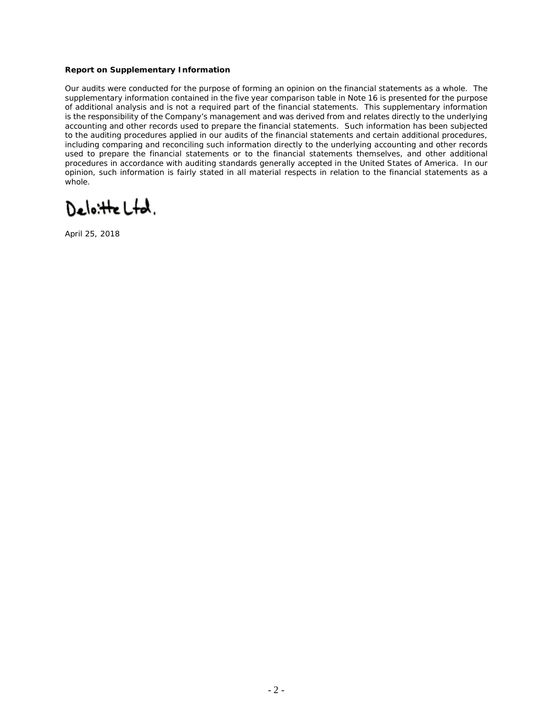#### **Report on Supplementary Information**

Our audits were conducted for the purpose of forming an opinion on the financial statements as a whole. The supplementary information contained in the five year comparison table in Note 16 is presented for the purpose of additional analysis and is not a required part of the financial statements. This supplementary information is the responsibility of the Company's management and was derived from and relates directly to the underlying accounting and other records used to prepare the financial statements. Such information has been subjected to the auditing procedures applied in our audits of the financial statements and certain additional procedures, including comparing and reconciling such information directly to the underlying accounting and other records used to prepare the financial statements or to the financial statements themselves, and other additional procedures in accordance with auditing standards generally accepted in the United States of America. In our opinion, such information is fairly stated in all material respects in relation to the financial statements as a whole.

Delo: He Ltd.

April 25, 2018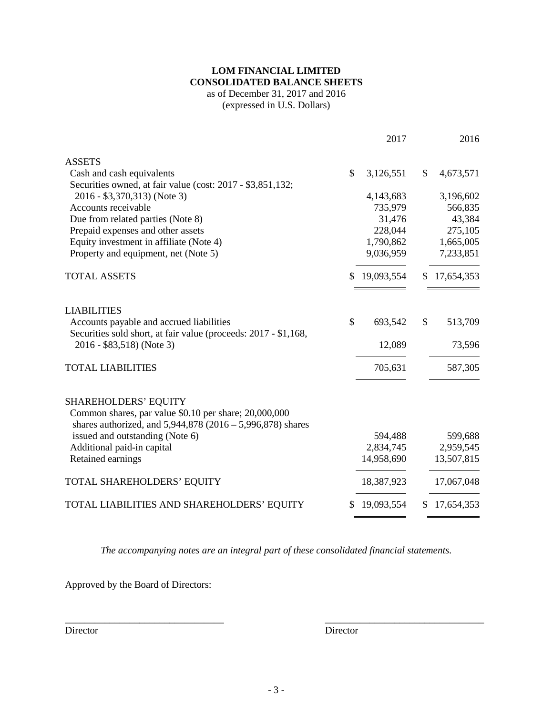# **LOM FINANCIAL LIMITED CONSOLIDATED BALANCE SHEETS** as of December 31, 2017 and 2016

(expressed in U.S. Dollars)

|                                                                        |     | 2017              |    | 2016              |
|------------------------------------------------------------------------|-----|-------------------|----|-------------------|
| <b>ASSETS</b>                                                          |     |                   |    |                   |
| Cash and cash equivalents                                              | \$  | 3,126,551         | \$ | 4,673,571         |
| Securities owned, at fair value (cost: 2017 - \$3,851,132;             |     |                   |    |                   |
| 2016 - \$3,370,313) (Note 3)                                           |     | 4,143,683         |    | 3,196,602         |
| Accounts receivable                                                    |     | 735,979<br>31,476 |    | 566,835<br>43,384 |
| Due from related parties (Note 8)<br>Prepaid expenses and other assets |     | 228,044           |    | 275,105           |
| Equity investment in affiliate (Note 4)                                |     | 1,790,862         |    | 1,665,005         |
| Property and equipment, net (Note 5)                                   |     | 9,036,959         |    | 7,233,851         |
|                                                                        |     |                   |    |                   |
| <b>TOTAL ASSETS</b>                                                    | \$. | 19,093,554        | S. | 17,654,353        |
|                                                                        |     |                   |    |                   |
| <b>LIABILITIES</b>                                                     |     |                   |    |                   |
| Accounts payable and accrued liabilities                               | \$  | 693,542           | \$ | 513,709           |
| Securities sold short, at fair value (proceeds: 2017 - \$1,168,        |     |                   |    |                   |
| 2016 - \$83,518) (Note 3)                                              |     | 12,089            |    | 73,596            |
| <b>TOTAL LIABILITIES</b>                                               |     | 705,631           |    | 587,305           |
|                                                                        |     |                   |    |                   |
| <b>SHAREHOLDERS' EQUITY</b>                                            |     |                   |    |                   |
| Common shares, par value \$0.10 per share; 20,000,000                  |     |                   |    |                   |
| shares authorized, and $5,944,878$ (2016 – 5,996,878) shares           |     |                   |    |                   |
| issued and outstanding (Note 6)                                        |     | 594,488           |    | 599,688           |
| Additional paid-in capital                                             |     | 2,834,745         |    | 2,959,545         |
| Retained earnings                                                      |     | 14,958,690        |    | 13,507,815        |
| TOTAL SHAREHOLDERS' EQUITY                                             |     | 18,387,923        |    | 17,067,048        |
| TOTAL LIABILITIES AND SHAREHOLDERS' EQUITY                             | S   | 19,093,554        | \$ | 17,654,353        |
|                                                                        |     |                   |    |                   |

*The accompanying notes are an integral part of these consolidated financial statements.*

Approved by the Board of Directors:

Director Director Director

\_\_\_\_\_\_\_\_\_\_\_\_\_\_\_\_\_\_\_\_\_\_\_\_\_\_\_\_\_\_\_\_ \_\_\_\_\_\_\_\_\_\_\_\_\_\_\_\_\_\_\_\_\_\_\_\_\_\_\_\_\_\_\_\_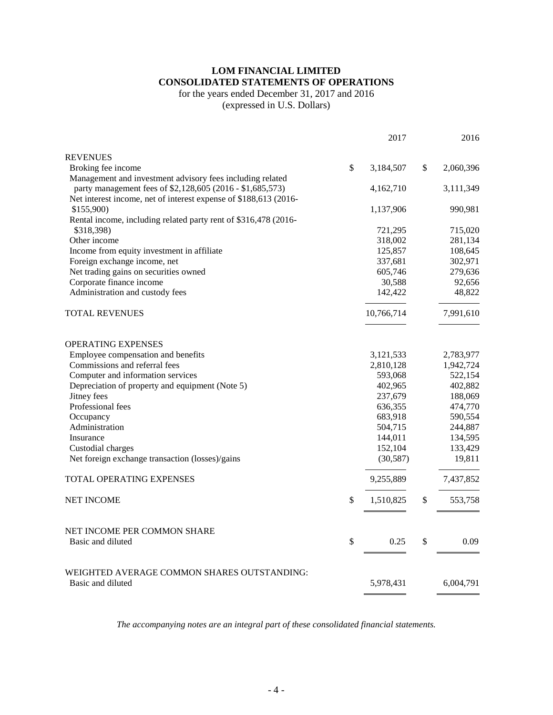# **LOM FINANCIAL LIMITED CONSOLIDATED STATEMENTS OF OPERATIONS**

for the years ended December 31, 2017 and 2016

(expressed in U.S. Dollars)

|                                                                  | 2017            | 2016            |
|------------------------------------------------------------------|-----------------|-----------------|
| <b>REVENUES</b>                                                  |                 |                 |
| Broking fee income                                               | \$<br>3,184,507 | \$<br>2,060,396 |
| Management and investment advisory fees including related        |                 |                 |
| party management fees of \$2,128,605 (2016 - \$1,685,573)        | 4,162,710       | 3,111,349       |
| Net interest income, net of interest expense of \$188,613 (2016- |                 |                 |
| \$155,900)                                                       | 1,137,906       | 990,981         |
| Rental income, including related party rent of \$316,478 (2016-  |                 |                 |
| \$318,398)                                                       | 721,295         | 715,020         |
| Other income                                                     | 318,002         | 281,134         |
| Income from equity investment in affiliate                       | 125,857         | 108,645         |
| Foreign exchange income, net                                     | 337,681         | 302,971         |
| Net trading gains on securities owned                            | 605,746         | 279,636         |
| Corporate finance income                                         | 30,588          | 92,656          |
| Administration and custody fees                                  | 142,422         | 48,822          |
| <b>TOTAL REVENUES</b>                                            | 10,766,714      | 7,991,610       |
| <b>OPERATING EXPENSES</b>                                        |                 |                 |
| Employee compensation and benefits                               | 3,121,533       | 2,783,977       |
| Commissions and referral fees                                    | 2,810,128       | 1,942,724       |
| Computer and information services                                | 593,068         | 522,154         |
| Depreciation of property and equipment (Note 5)                  | 402,965         | 402,882         |
| Jitney fees                                                      | 237,679         | 188,069         |
| Professional fees                                                | 636,355         | 474,770         |
| Occupancy                                                        | 683,918         | 590,554         |
| Administration                                                   | 504,715         | 244,887         |
| Insurance                                                        | 144,011         | 134,595         |
| Custodial charges                                                | 152,104         | 133,429         |
| Net foreign exchange transaction (losses)/gains                  | (30, 587)       | 19,811          |
| TOTAL OPERATING EXPENSES                                         | 9,255,889       | 7,437,852       |
| <b>NET INCOME</b>                                                | \$<br>1,510,825 | \$<br>553,758   |
|                                                                  |                 |                 |
| NET INCOME PER COMMON SHARE<br>Basic and diluted                 | \$              | \$<br>0.09      |
|                                                                  | 0.25            |                 |
| WEIGHTED AVERAGE COMMON SHARES OUTSTANDING:                      |                 |                 |
| Basic and diluted                                                | 5,978,431       | 6,004,791       |

*The accompanying notes are an integral part of these consolidated financial statements.*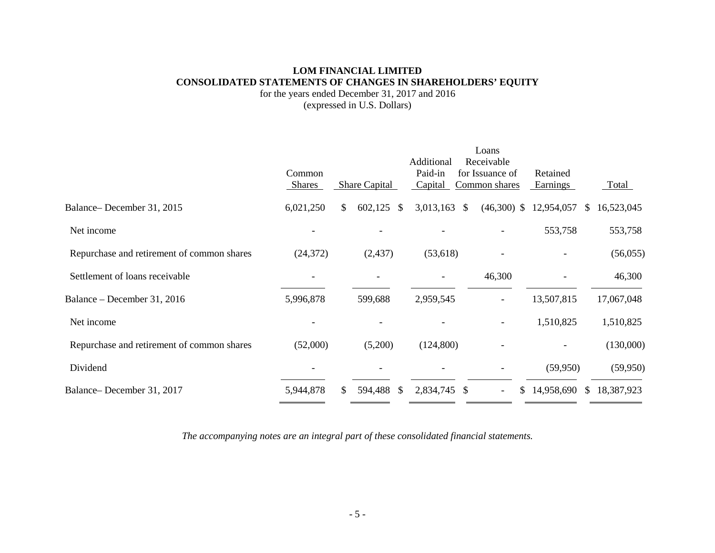# **LOM FINANCIAL LIMITED CONSOLIDATED STATEMENTS OF CHANGES IN SHAREHOLDERS' EQUITY**

for the years ended December 31, 2017 and 2016 (expressed in U.S. Dollars)

|               |        |                          | Additional           | Loans                    |                                                                                |                                  |            |
|---------------|--------|--------------------------|----------------------|--------------------------|--------------------------------------------------------------------------------|----------------------------------|------------|
| <b>Shares</b> |        |                          | Capital              |                          | Earnings                                                                       |                                  | Total      |
| 6,021,250     | \$     | 602,125<br>$\mathcal{S}$ |                      |                          | 12,954,057                                                                     |                                  | 16,523,045 |
|               |        |                          |                      |                          | 553,758                                                                        |                                  | 553,758    |
| (24, 372)     |        | (2,437)                  | (53,618)             |                          |                                                                                |                                  | (56,055)   |
|               |        |                          |                      | 46,300                   |                                                                                |                                  | 46,300     |
| 5,996,878     |        | 599,688                  | 2,959,545            | $\overline{\phantom{a}}$ | 13,507,815                                                                     |                                  | 17,067,048 |
|               |        |                          |                      | $\overline{\phantom{a}}$ | 1,510,825                                                                      |                                  | 1,510,825  |
| (52,000)      |        | (5,200)                  | (124,800)            |                          |                                                                                |                                  | (130,000)  |
|               |        |                          |                      |                          | (59,950)                                                                       |                                  | (59,950)   |
| 5,944,878     | \$     | 594,488<br>$\mathbb{S}$  |                      |                          | 14,958,690                                                                     |                                  | 18,387,923 |
|               | Common |                          | <b>Share Capital</b> | Paid-in                  | Receivable<br>for Issuance of<br>Common shares<br>3,013,163 \$<br>2,834,745 \$ | Retained<br>$(46,300)$ \$<br>\$. | S.<br>S.   |

*The accompanying notes are an integral part of these consolidated financial statements.*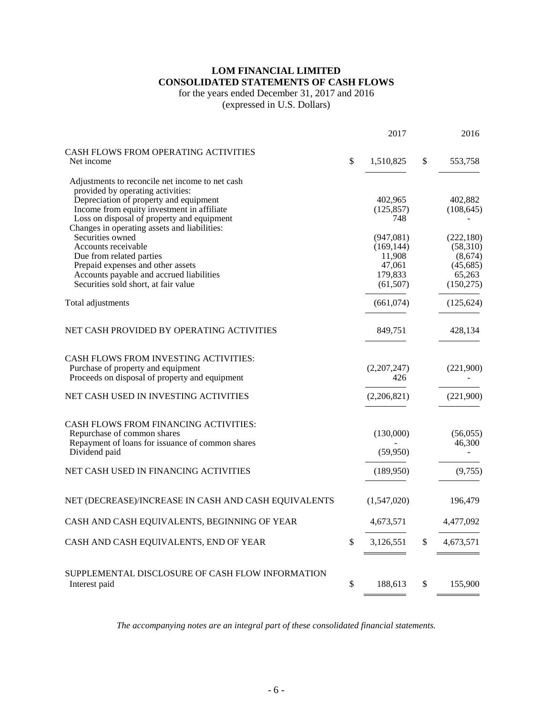# **LOM FINANCIAL LIMITED CONSOLIDATED STATEMENTS OF CASH FLOWS**

# for the years ended December 31, 2017 and 2016

(expressed in U.S. Dollars)

|                                                                                      |               | 2017               | 2016            |
|--------------------------------------------------------------------------------------|---------------|--------------------|-----------------|
| CASH FLOWS FROM OPERATING ACTIVITIES<br>Net income                                   | $\mathcal{S}$ | 1,510,825          | \$<br>553,758   |
|                                                                                      |               |                    |                 |
| Adjustments to reconcile net income to net cash<br>provided by operating activities: |               |                    |                 |
| Depreciation of property and equipment                                               |               | 402,965            | 402,882         |
| Income from equity investment in affiliate                                           |               | (125, 857)         | (108, 645)      |
| Loss on disposal of property and equipment                                           |               | 748                |                 |
| Changes in operating assets and liabilities:<br>Securities owned                     |               | (947,081)          | (222,180)       |
| Accounts receivable                                                                  |               | (169, 144)         | (58,310)        |
| Due from related parties                                                             |               | 11,908             | (8,674)         |
| Prepaid expenses and other assets                                                    |               | 47,061             | (45,685)        |
| Accounts payable and accrued liabilities                                             |               | 179,833            | 65,263          |
| Securities sold short, at fair value                                                 |               | (61,507)           | (150, 275)      |
| Total adjustments                                                                    |               | (661,074)          | (125, 624)      |
| NET CASH PROVIDED BY OPERATING ACTIVITIES                                            |               | 849,751            | 428,134         |
| <b>CASH FLOWS FROM INVESTING ACTIVITIES:</b>                                         |               |                    |                 |
| Purchase of property and equipment<br>Proceeds on disposal of property and equipment |               | (2,207,247)<br>426 | (221,900)       |
|                                                                                      |               |                    |                 |
| NET CASH USED IN INVESTING ACTIVITIES                                                |               | (2,206,821)        | (221,900)       |
| <b>CASH FLOWS FROM FINANCING ACTIVITIES:</b>                                         |               |                    |                 |
| Repurchase of common shares                                                          |               | (130,000)          | (56, 055)       |
| Repayment of loans for issuance of common shares<br>Dividend paid                    |               | (59, 950)          | 46,300          |
|                                                                                      |               |                    |                 |
| NET CASH USED IN FINANCING ACTIVITIES                                                |               | (189,950)          | (9,755)         |
| NET (DECREASE)/INCREASE IN CASH AND CASH EQUIVALENTS                                 |               | (1,547,020)        | 196,479         |
| CASH AND CASH EQUIVALENTS, BEGINNING OF YEAR                                         |               | 4,673,571          | 4,477,092       |
| CASH AND CASH EQUIVALENTS, END OF YEAR                                               | $\mathbb{S}$  | 3,126,551          | \$<br>4,673,571 |
| SUPPLEMENTAL DISCLOSURE OF CASH FLOW INFORMATION                                     |               |                    |                 |
| Interest paid                                                                        | \$            | 188,613            | \$<br>155,900   |

*The accompanying notes are an integral part of these consolidated financial statements.*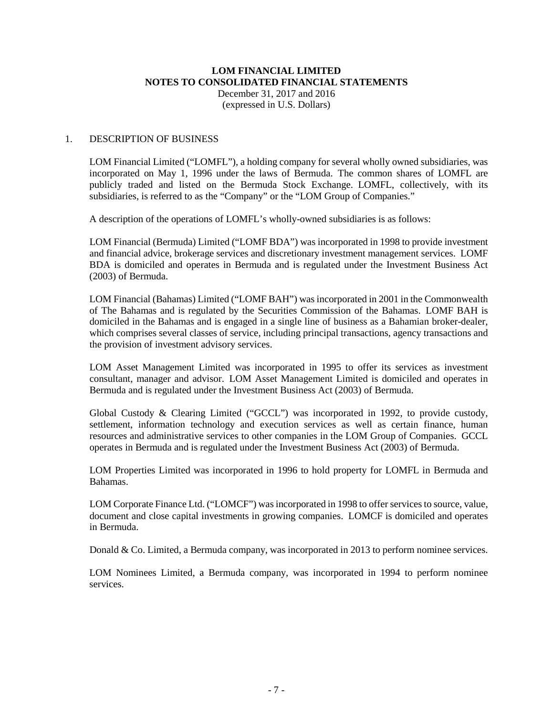(expressed in U.S. Dollars)

# 1. DESCRIPTION OF BUSINESS

LOM Financial Limited ("LOMFL"), a holding company for several wholly owned subsidiaries, was incorporated on May 1, 1996 under the laws of Bermuda. The common shares of LOMFL are publicly traded and listed on the Bermuda Stock Exchange. LOMFL, collectively, with its subsidiaries, is referred to as the "Company" or the "LOM Group of Companies."

A description of the operations of LOMFL's wholly-owned subsidiaries is as follows:

LOM Financial (Bermuda) Limited ("LOMF BDA") was incorporated in 1998 to provide investment and financial advice, brokerage services and discretionary investment management services. LOMF BDA is domiciled and operates in Bermuda and is regulated under the Investment Business Act (2003) of Bermuda.

LOM Financial (Bahamas) Limited ("LOMF BAH") was incorporated in 2001 in the Commonwealth of The Bahamas and is regulated by the Securities Commission of the Bahamas. LOMF BAH is domiciled in the Bahamas and is engaged in a single line of business as a Bahamian broker-dealer, which comprises several classes of service, including principal transactions, agency transactions and the provision of investment advisory services.

LOM Asset Management Limited was incorporated in 1995 to offer its services as investment consultant, manager and advisor. LOM Asset Management Limited is domiciled and operates in Bermuda and is regulated under the Investment Business Act (2003) of Bermuda.

Global Custody & Clearing Limited ("GCCL") was incorporated in 1992, to provide custody, settlement, information technology and execution services as well as certain finance, human resources and administrative services to other companies in the LOM Group of Companies. GCCL operates in Bermuda and is regulated under the Investment Business Act (2003) of Bermuda.

LOM Properties Limited was incorporated in 1996 to hold property for LOMFL in Bermuda and Bahamas.

LOM Corporate Finance Ltd. ("LOMCF") was incorporated in 1998 to offer services to source, value, document and close capital investments in growing companies. LOMCF is domiciled and operates in Bermuda.

Donald & Co. Limited, a Bermuda company, was incorporated in 2013 to perform nominee services.

LOM Nominees Limited, a Bermuda company, was incorporated in 1994 to perform nominee services.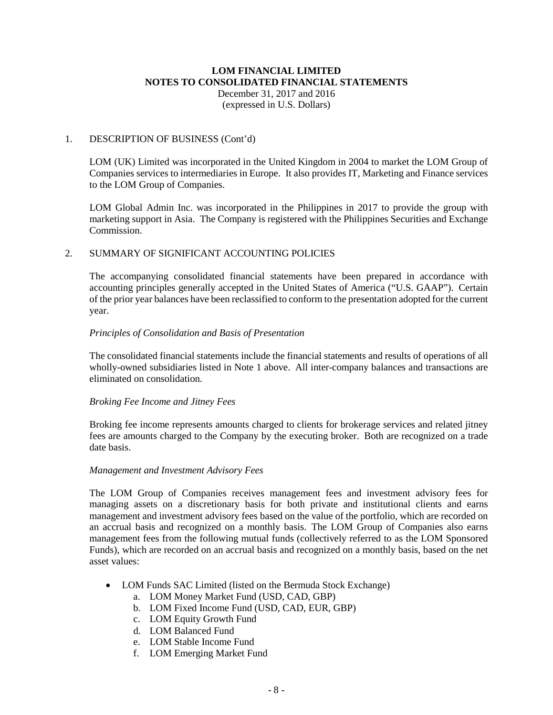(expressed in U.S. Dollars)

# 1. DESCRIPTION OF BUSINESS (Cont'd)

LOM (UK) Limited was incorporated in the United Kingdom in 2004 to market the LOM Group of Companies services to intermediaries in Europe. It also provides IT, Marketing and Finance services to the LOM Group of Companies.

LOM Global Admin Inc. was incorporated in the Philippines in 2017 to provide the group with marketing support in Asia. The Company is registered with the Philippines Securities and Exchange Commission.

# 2. SUMMARY OF SIGNIFICANT ACCOUNTING POLICIES

The accompanying consolidated financial statements have been prepared in accordance with accounting principles generally accepted in the United States of America ("U.S. GAAP"). Certain of the prior year balances have been reclassified to conform to the presentation adopted for the current year.

# *Principles of Consolidation and Basis of Presentation*

The consolidated financial statements include the financial statements and results of operations of all wholly-owned subsidiaries listed in Note 1 above. All inter-company balances and transactions are eliminated on consolidation.

# *Broking Fee Income and Jitney Fees*

Broking fee income represents amounts charged to clients for brokerage services and related jitney fees are amounts charged to the Company by the executing broker. Both are recognized on a trade date basis.

# *Management and Investment Advisory Fees*

The LOM Group of Companies receives management fees and investment advisory fees for managing assets on a discretionary basis for both private and institutional clients and earns management and investment advisory fees based on the value of the portfolio, which are recorded on an accrual basis and recognized on a monthly basis. The LOM Group of Companies also earns management fees from the following mutual funds (collectively referred to as the LOM Sponsored Funds), which are recorded on an accrual basis and recognized on a monthly basis, based on the net asset values:

- LOM Funds SAC Limited (listed on the Bermuda Stock Exchange)
	- a. LOM Money Market Fund (USD, CAD, GBP)
	- b. LOM Fixed Income Fund (USD, CAD, EUR, GBP)
	- c. LOM Equity Growth Fund
	- d. LOM Balanced Fund
	- e. LOM Stable Income Fund
	- f. LOM Emerging Market Fund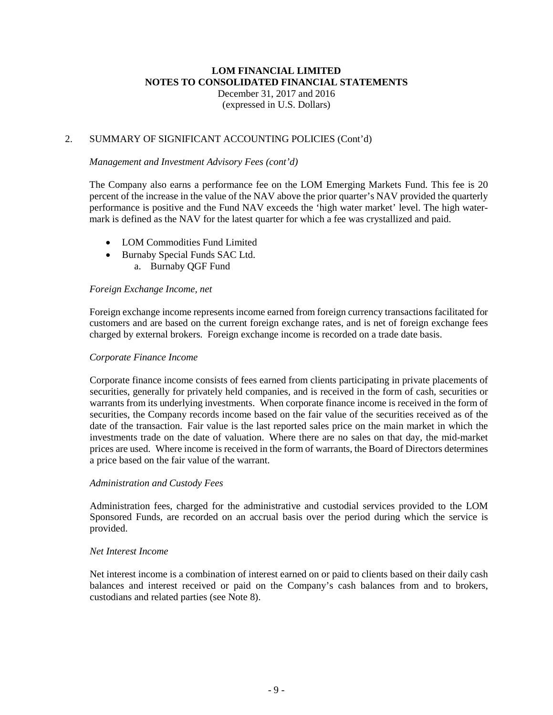# 2. SUMMARY OF SIGNIFICANT ACCOUNTING POLICIES (Cont'd)

#### *Management and Investment Advisory Fees (cont'd)*

The Company also earns a performance fee on the LOM Emerging Markets Fund. This fee is 20 percent of the increase in the value of the NAV above the prior quarter's NAV provided the quarterly performance is positive and the Fund NAV exceeds the 'high water market' level. The high watermark is defined as the NAV for the latest quarter for which a fee was crystallized and paid.

- LOM Commodities Fund Limited
- Burnaby Special Funds SAC Ltd.
	- a. Burnaby QGF Fund

#### *Foreign Exchange Income, net*

Foreign exchange income represents income earned from foreign currency transactions facilitated for customers and are based on the current foreign exchange rates, and is net of foreign exchange fees charged by external brokers. Foreign exchange income is recorded on a trade date basis.

#### *Corporate Finance Income*

Corporate finance income consists of fees earned from clients participating in private placements of securities, generally for privately held companies, and is received in the form of cash, securities or warrants from its underlying investments. When corporate finance income is received in the form of securities, the Company records income based on the fair value of the securities received as of the date of the transaction. Fair value is the last reported sales price on the main market in which the investments trade on the date of valuation. Where there are no sales on that day, the mid-market prices are used. Where income is received in the form of warrants, the Board of Directors determines a price based on the fair value of the warrant.

#### *Administration and Custody Fees*

Administration fees, charged for the administrative and custodial services provided to the LOM Sponsored Funds, are recorded on an accrual basis over the period during which the service is provided.

# *Net Interest Income*

Net interest income is a combination of interest earned on or paid to clients based on their daily cash balances and interest received or paid on the Company's cash balances from and to brokers, custodians and related parties (see Note 8).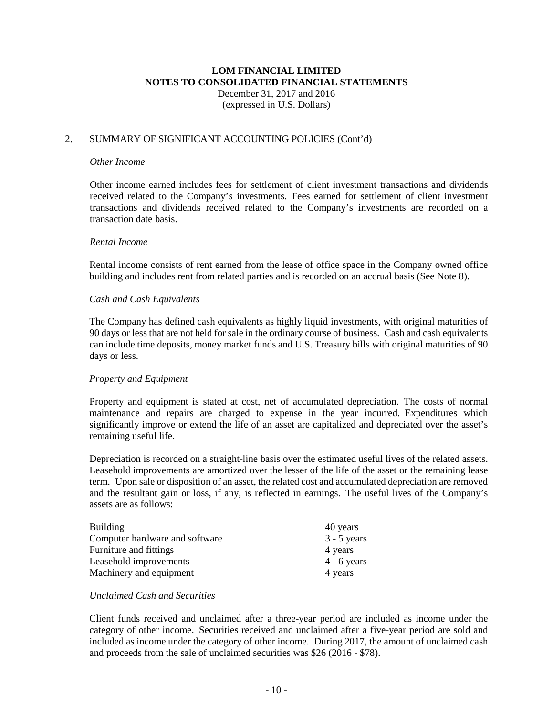# 2. SUMMARY OF SIGNIFICANT ACCOUNTING POLICIES (Cont'd)

# *Other Income*

Other income earned includes fees for settlement of client investment transactions and dividends received related to the Company's investments. Fees earned for settlement of client investment transactions and dividends received related to the Company's investments are recorded on a transaction date basis.

#### *Rental Income*

Rental income consists of rent earned from the lease of office space in the Company owned office building and includes rent from related parties and is recorded on an accrual basis (See Note 8).

#### *Cash and Cash Equivalents*

The Company has defined cash equivalents as highly liquid investments, with original maturities of 90 days or less that are not held for sale in the ordinary course of business. Cash and cash equivalents can include time deposits, money market funds and U.S. Treasury bills with original maturities of 90 days or less.

#### *Property and Equipment*

Property and equipment is stated at cost, net of accumulated depreciation. The costs of normal maintenance and repairs are charged to expense in the year incurred. Expenditures which significantly improve or extend the life of an asset are capitalized and depreciated over the asset's remaining useful life.

Depreciation is recorded on a straight-line basis over the estimated useful lives of the related assets. Leasehold improvements are amortized over the lesser of the life of the asset or the remaining lease term. Upon sale or disposition of an asset, the related cost and accumulated depreciation are removed and the resultant gain or loss, if any, is reflected in earnings. The useful lives of the Company's assets are as follows:

| Building                       | 40 years      |
|--------------------------------|---------------|
| Computer hardware and software | $3 - 5$ years |
| Furniture and fittings         | 4 years       |
| Leasehold improvements         | $4 - 6$ years |
| Machinery and equipment        | 4 years       |

#### *Unclaimed Cash and Securities*

Client funds received and unclaimed after a three-year period are included as income under the category of other income. Securities received and unclaimed after a five-year period are sold and included as income under the category of other income. During 2017, the amount of unclaimed cash and proceeds from the sale of unclaimed securities was \$26 (2016 - \$78).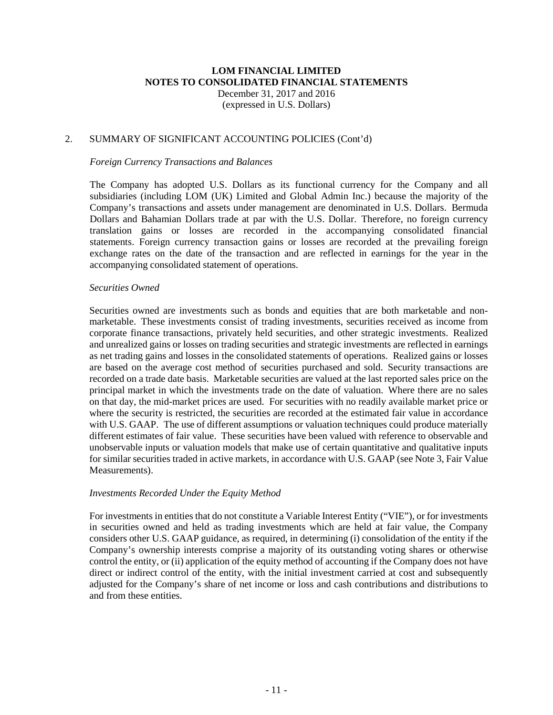(expressed in U.S. Dollars)

# 2. SUMMARY OF SIGNIFICANT ACCOUNTING POLICIES (Cont'd)

#### *Foreign Currency Transactions and Balances*

The Company has adopted U.S. Dollars as its functional currency for the Company and all subsidiaries (including LOM (UK) Limited and Global Admin Inc.) because the majority of the Company's transactions and assets under management are denominated in U.S. Dollars. Bermuda Dollars and Bahamian Dollars trade at par with the U.S. Dollar. Therefore, no foreign currency translation gains or losses are recorded in the accompanying consolidated financial statements. Foreign currency transaction gains or losses are recorded at the prevailing foreign exchange rates on the date of the transaction and are reflected in earnings for the year in the accompanying consolidated statement of operations.

#### *Securities Owned*

Securities owned are investments such as bonds and equities that are both marketable and nonmarketable. These investments consist of trading investments, securities received as income from corporate finance transactions, privately held securities, and other strategic investments. Realized and unrealized gains or losses on trading securities and strategic investments are reflected in earnings as net trading gains and losses in the consolidated statements of operations. Realized gains or losses are based on the average cost method of securities purchased and sold. Security transactions are recorded on a trade date basis. Marketable securities are valued at the last reported sales price on the principal market in which the investments trade on the date of valuation. Where there are no sales on that day, the mid-market prices are used. For securities with no readily available market price or where the security is restricted, the securities are recorded at the estimated fair value in accordance with U.S. GAAP. The use of different assumptions or valuation techniques could produce materially different estimates of fair value. These securities have been valued with reference to observable and unobservable inputs or valuation models that make use of certain quantitative and qualitative inputs for similar securities traded in active markets, in accordance with U.S. GAAP (see Note 3, Fair Value Measurements).

#### *Investments Recorded Under the Equity Method*

For investments in entities that do not constitute a Variable Interest Entity ("VIE"), or for investments in securities owned and held as trading investments which are held at fair value, the Company considers other U.S. GAAP guidance, as required, in determining (i) consolidation of the entity if the Company's ownership interests comprise a majority of its outstanding voting shares or otherwise control the entity, or (ii) application of the equity method of accounting if the Company does not have direct or indirect control of the entity, with the initial investment carried at cost and subsequently adjusted for the Company's share of net income or loss and cash contributions and distributions to and from these entities.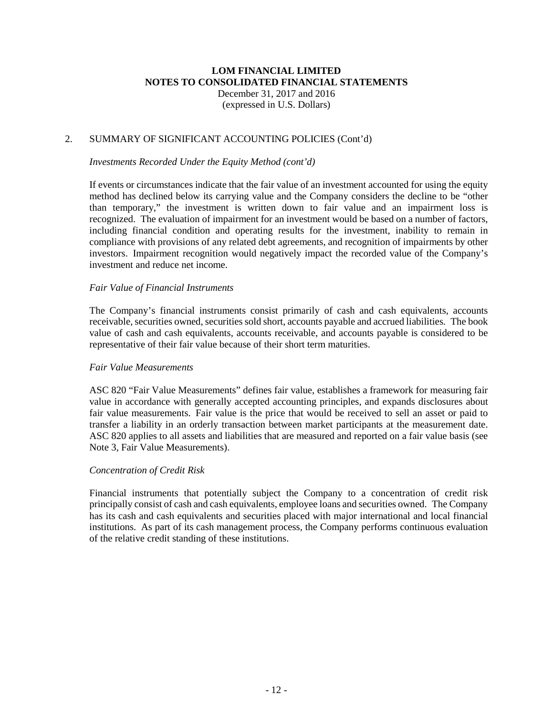(expressed in U.S. Dollars)

# 2. SUMMARY OF SIGNIFICANT ACCOUNTING POLICIES (Cont'd)

#### *Investments Recorded Under the Equity Method (cont'd)*

If events or circumstances indicate that the fair value of an investment accounted for using the equity method has declined below its carrying value and the Company considers the decline to be "other than temporary," the investment is written down to fair value and an impairment loss is recognized. The evaluation of impairment for an investment would be based on a number of factors, including financial condition and operating results for the investment, inability to remain in compliance with provisions of any related debt agreements, and recognition of impairments by other investors. Impairment recognition would negatively impact the recorded value of the Company's investment and reduce net income.

# *Fair Value of Financial Instruments*

The Company's financial instruments consist primarily of cash and cash equivalents, accounts receivable, securities owned, securities sold short, accounts payable and accrued liabilities. The book value of cash and cash equivalents, accounts receivable, and accounts payable is considered to be representative of their fair value because of their short term maturities.

#### *Fair Value Measurements*

ASC 820 "Fair Value Measurements" defines fair value, establishes a framework for measuring fair value in accordance with generally accepted accounting principles, and expands disclosures about fair value measurements. Fair value is the price that would be received to sell an asset or paid to transfer a liability in an orderly transaction between market participants at the measurement date. ASC 820 applies to all assets and liabilities that are measured and reported on a fair value basis (see Note 3, Fair Value Measurements).

# *Concentration of Credit Risk*

Financial instruments that potentially subject the Company to a concentration of credit risk principally consist of cash and cash equivalents, employee loans and securities owned. The Company has its cash and cash equivalents and securities placed with major international and local financial institutions. As part of its cash management process, the Company performs continuous evaluation of the relative credit standing of these institutions.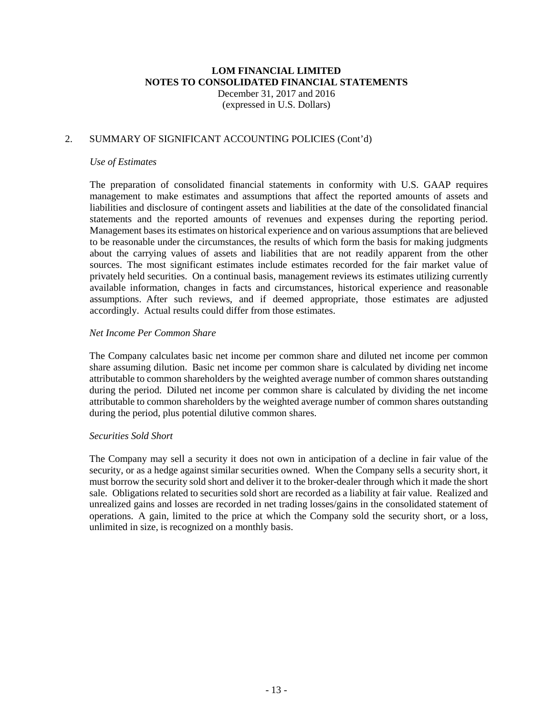### 2. SUMMARY OF SIGNIFICANT ACCOUNTING POLICIES (Cont'd)

#### *Use of Estimates*

The preparation of consolidated financial statements in conformity with U.S. GAAP requires management to make estimates and assumptions that affect the reported amounts of assets and liabilities and disclosure of contingent assets and liabilities at the date of the consolidated financial statements and the reported amounts of revenues and expenses during the reporting period. Management bases its estimates on historical experience and on various assumptions that are believed to be reasonable under the circumstances, the results of which form the basis for making judgments about the carrying values of assets and liabilities that are not readily apparent from the other sources. The most significant estimates include estimates recorded for the fair market value of privately held securities. On a continual basis, management reviews its estimates utilizing currently available information, changes in facts and circumstances, historical experience and reasonable assumptions. After such reviews, and if deemed appropriate, those estimates are adjusted accordingly. Actual results could differ from those estimates.

#### *Net Income Per Common Share*

The Company calculates basic net income per common share and diluted net income per common share assuming dilution. Basic net income per common share is calculated by dividing net income attributable to common shareholders by the weighted average number of common shares outstanding during the period. Diluted net income per common share is calculated by dividing the net income attributable to common shareholders by the weighted average number of common shares outstanding during the period, plus potential dilutive common shares.

# *Securities Sold Short*

The Company may sell a security it does not own in anticipation of a decline in fair value of the security, or as a hedge against similar securities owned. When the Company sells a security short, it must borrow the security sold short and deliver it to the broker-dealer through which it made the short sale. Obligations related to securities sold short are recorded as a liability at fair value. Realized and unrealized gains and losses are recorded in net trading losses/gains in the consolidated statement of operations. A gain, limited to the price at which the Company sold the security short, or a loss, unlimited in size, is recognized on a monthly basis.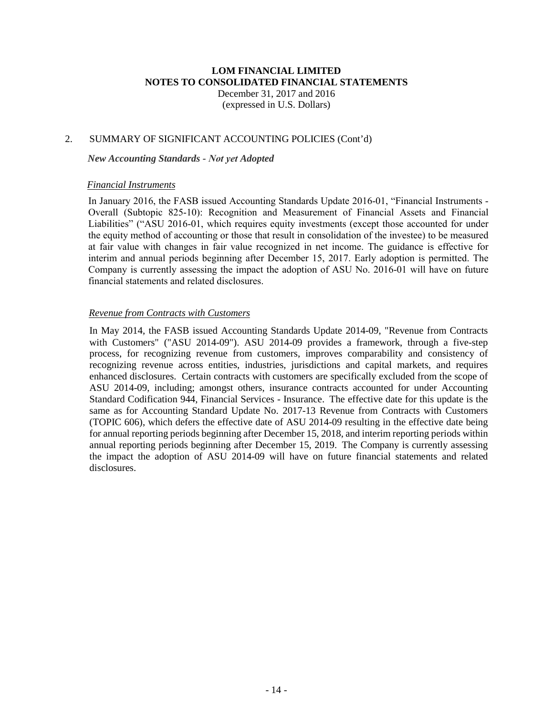December 31, 2017 and 2016 (expressed in U.S. Dollars)

# 2. SUMMARY OF SIGNIFICANT ACCOUNTING POLICIES (Cont'd)

*New Accounting Standards - Not yet Adopted*

# *Financial Instruments*

In January 2016, the FASB issued Accounting Standards Update 2016-01, "Financial Instruments - Overall (Subtopic 825-10): Recognition and Measurement of Financial Assets and Financial Liabilities" ("ASU 2016-01, which requires equity investments (except those accounted for under the equity method of accounting or those that result in consolidation of the investee) to be measured at fair value with changes in fair value recognized in net income. The guidance is effective for interim and annual periods beginning after December 15, 2017. Early adoption is permitted. The Company is currently assessing the impact the adoption of ASU No. 2016-01 will have on future financial statements and related disclosures.

# *Revenue from Contracts with Customers*

In May 2014, the FASB issued Accounting Standards Update 2014-09, "Revenue from Contracts with Customers" ("ASU 2014-09"). ASU 2014-09 provides a framework, through a five-step process, for recognizing revenue from customers, improves comparability and consistency of recognizing revenue across entities, industries, jurisdictions and capital markets, and requires enhanced disclosures. Certain contracts with customers are specifically excluded from the scope of ASU 2014-09, including; amongst others, insurance contracts accounted for under Accounting Standard Codification 944, Financial Services - Insurance. The effective date for this update is the same as for Accounting Standard Update No. 2017-13 Revenue from Contracts with Customers (TOPIC 606), which defers the effective date of ASU 2014-09 resulting in the effective date being for annual reporting periods beginning after December 15, 2018, and interim reporting periods within annual reporting periods beginning after December 15, 2019. The Company is currently assessing the impact the adoption of ASU 2014-09 will have on future financial statements and related disclosures.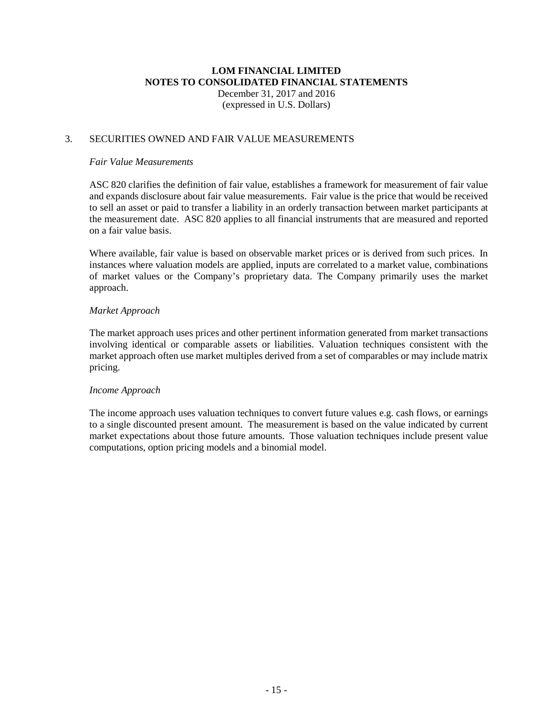# 3. SECURITIES OWNED AND FAIR VALUE MEASUREMENTS

# *Fair Value Measurements*

ASC 820 clarifies the definition of fair value, establishes a framework for measurement of fair value and expands disclosure about fair value measurements. Fair value is the price that would be received to sell an asset or paid to transfer a liability in an orderly transaction between market participants at the measurement date. ASC 820 applies to all financial instruments that are measured and reported on a fair value basis.

Where available, fair value is based on observable market prices or is derived from such prices. In instances where valuation models are applied, inputs are correlated to a market value, combinations of market values or the Company's proprietary data. The Company primarily uses the market approach.

# *Market Approach*

The market approach uses prices and other pertinent information generated from market transactions involving identical or comparable assets or liabilities. Valuation techniques consistent with the market approach often use market multiples derived from a set of comparables or may include matrix pricing.

#### *Income Approach*

The income approach uses valuation techniques to convert future values e.g. cash flows, or earnings to a single discounted present amount. The measurement is based on the value indicated by current market expectations about those future amounts. Those valuation techniques include present value computations, option pricing models and a binomial model.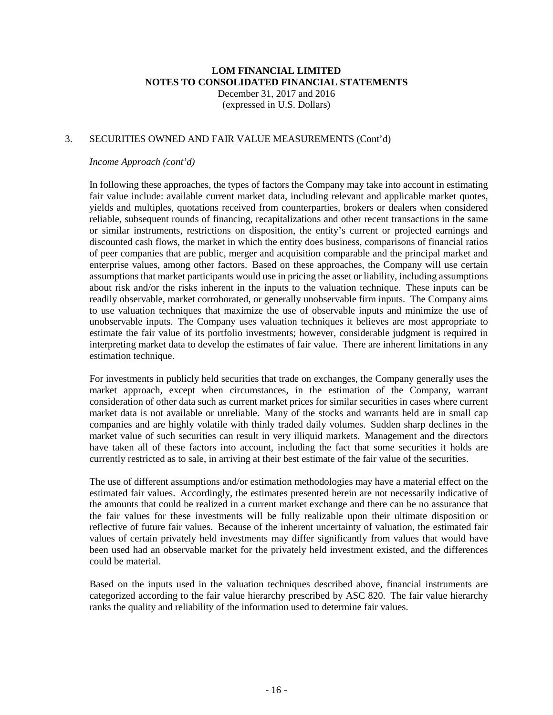# 3. SECURITIES OWNED AND FAIR VALUE MEASUREMENTS (Cont'd)

#### *Income Approach (cont'd)*

In following these approaches, the types of factors the Company may take into account in estimating fair value include: available current market data, including relevant and applicable market quotes, yields and multiples, quotations received from counterparties, brokers or dealers when considered reliable, subsequent rounds of financing, recapitalizations and other recent transactions in the same or similar instruments, restrictions on disposition, the entity's current or projected earnings and discounted cash flows, the market in which the entity does business, comparisons of financial ratios of peer companies that are public, merger and acquisition comparable and the principal market and enterprise values, among other factors. Based on these approaches, the Company will use certain assumptions that market participants would use in pricing the asset or liability, including assumptions about risk and/or the risks inherent in the inputs to the valuation technique. These inputs can be readily observable, market corroborated, or generally unobservable firm inputs. The Company aims to use valuation techniques that maximize the use of observable inputs and minimize the use of unobservable inputs. The Company uses valuation techniques it believes are most appropriate to estimate the fair value of its portfolio investments; however, considerable judgment is required in interpreting market data to develop the estimates of fair value. There are inherent limitations in any estimation technique.

For investments in publicly held securities that trade on exchanges, the Company generally uses the market approach, except when circumstances, in the estimation of the Company, warrant consideration of other data such as current market prices for similar securities in cases where current market data is not available or unreliable. Many of the stocks and warrants held are in small cap companies and are highly volatile with thinly traded daily volumes. Sudden sharp declines in the market value of such securities can result in very illiquid markets. Management and the directors have taken all of these factors into account, including the fact that some securities it holds are currently restricted as to sale, in arriving at their best estimate of the fair value of the securities.

The use of different assumptions and/or estimation methodologies may have a material effect on the estimated fair values. Accordingly, the estimates presented herein are not necessarily indicative of the amounts that could be realized in a current market exchange and there can be no assurance that the fair values for these investments will be fully realizable upon their ultimate disposition or reflective of future fair values. Because of the inherent uncertainty of valuation, the estimated fair values of certain privately held investments may differ significantly from values that would have been used had an observable market for the privately held investment existed, and the differences could be material.

Based on the inputs used in the valuation techniques described above, financial instruments are categorized according to the fair value hierarchy prescribed by ASC 820. The fair value hierarchy ranks the quality and reliability of the information used to determine fair values.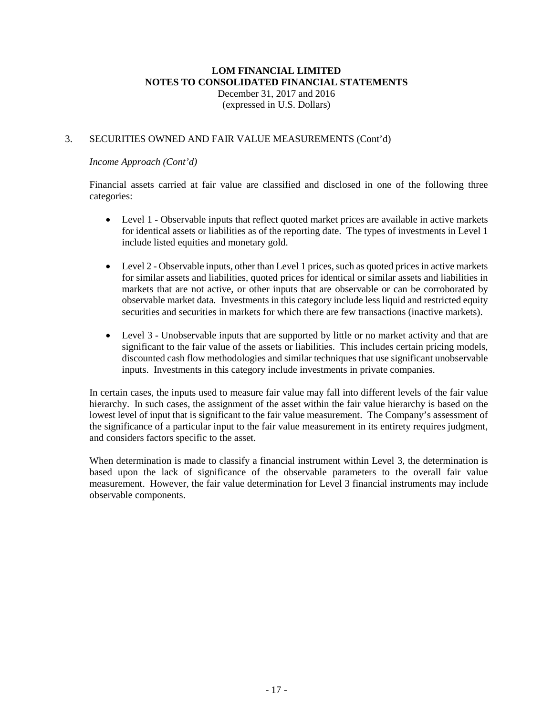# 3. SECURITIES OWNED AND FAIR VALUE MEASUREMENTS (Cont'd)

### *Income Approach (Cont'd)*

Financial assets carried at fair value are classified and disclosed in one of the following three categories:

- Level 1 Observable inputs that reflect quoted market prices are available in active markets for identical assets or liabilities as of the reporting date. The types of investments in Level 1 include listed equities and monetary gold.
- Level 2 Observable inputs, other than Level 1 prices, such as quoted prices in active markets for similar assets and liabilities, quoted prices for identical or similar assets and liabilities in markets that are not active, or other inputs that are observable or can be corroborated by observable market data. Investments in this category include less liquid and restricted equity securities and securities in markets for which there are few transactions (inactive markets).
- Level 3 Unobservable inputs that are supported by little or no market activity and that are significant to the fair value of the assets or liabilities. This includes certain pricing models, discounted cash flow methodologies and similar techniques that use significant unobservable inputs. Investments in this category include investments in private companies.

In certain cases, the inputs used to measure fair value may fall into different levels of the fair value hierarchy. In such cases, the assignment of the asset within the fair value hierarchy is based on the lowest level of input that is significant to the fair value measurement. The Company's assessment of the significance of a particular input to the fair value measurement in its entirety requires judgment, and considers factors specific to the asset.

When determination is made to classify a financial instrument within Level 3, the determination is based upon the lack of significance of the observable parameters to the overall fair value measurement. However, the fair value determination for Level 3 financial instruments may include observable components.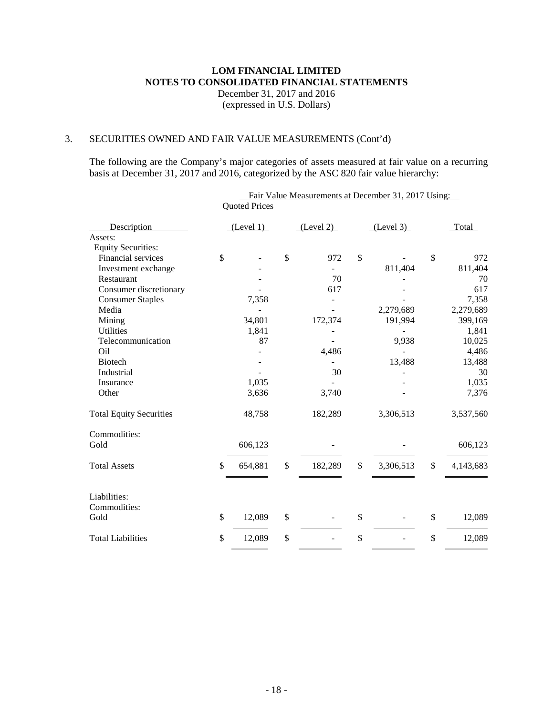# 3. SECURITIES OWNED AND FAIR VALUE MEASUREMENTS (Cont'd)

The following are the Company's major categories of assets measured at fair value on a recurring basis at December 31, 2017 and 2016, categorized by the ASC 820 fair value hierarchy:

|                                |                      |               | Fair Value Measurements at December 31, 2017 Using: |                 |
|--------------------------------|----------------------|---------------|-----------------------------------------------------|-----------------|
|                                | <b>Quoted Prices</b> |               |                                                     |                 |
| Description                    | (Level 1)            | (Level 2)     | (Level 3)                                           | Total           |
| Assets:                        |                      |               |                                                     |                 |
| <b>Equity Securities:</b>      |                      |               |                                                     |                 |
| Financial services             | \$                   | \$<br>972     | \$                                                  | \$<br>972       |
| Investment exchange            |                      |               | 811,404                                             | 811,404         |
| Restaurant                     |                      | 70            |                                                     | 70              |
| Consumer discretionary         |                      | 617           |                                                     | 617             |
| <b>Consumer Staples</b>        | 7,358                |               |                                                     | 7,358           |
| Media                          |                      |               | 2,279,689                                           | 2,279,689       |
| Mining                         | 34,801               | 172,374       | 191,994                                             | 399,169         |
| <b>Utilities</b>               | 1,841                |               |                                                     | 1,841           |
| Telecommunication              | 87                   |               | 9,938                                               | 10,025          |
| Oil                            |                      | 4,486         |                                                     | 4,486           |
| <b>Biotech</b>                 |                      |               | 13,488                                              | 13,488          |
| Industrial                     |                      | 30            |                                                     | 30              |
| Insurance                      | 1,035                |               |                                                     | 1,035           |
| Other                          | 3,636                | 3,740         |                                                     | 7,376           |
| <b>Total Equity Securities</b> | 48,758               | 182,289       | 3,306,513                                           | 3,537,560       |
| Commodities:                   |                      |               |                                                     |                 |
| Gold                           | 606,123              |               |                                                     | 606,123         |
| <b>Total Assets</b>            | \$<br>654,881        | \$<br>182,289 | \$<br>3,306,513                                     | \$<br>4,143,683 |
| Liabilities:<br>Commodities:   |                      |               |                                                     |                 |
| Gold                           | \$<br>12,089         | \$            | \$                                                  | \$<br>12,089    |
| <b>Total Liabilities</b>       | \$<br>12,089         | \$            | \$                                                  | \$<br>12,089    |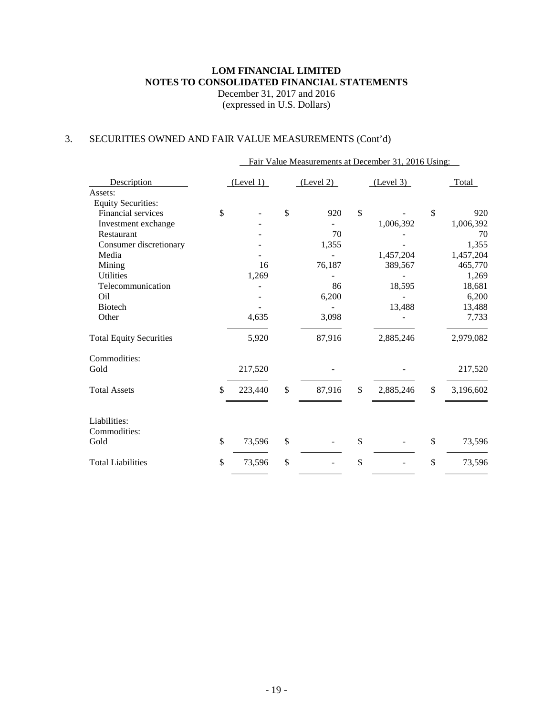# 3. SECURITIES OWNED AND FAIR VALUE MEASUREMENTS (Cont'd)

| Fair Value Measurements at December 31, 2016 Using: |           |              |        |               |           |              |           |
|-----------------------------------------------------|-----------|--------------|--------|---------------|-----------|--------------|-----------|
|                                                     | (Level 1) |              |        |               | Total     |              |           |
|                                                     |           |              |        |               |           |              |           |
|                                                     |           |              |        |               |           |              |           |
| \$                                                  |           | \$           | 920    | $\mathcal{S}$ |           | \$           | 920       |
|                                                     |           |              |        |               | 1,006,392 |              | 1,006,392 |
|                                                     |           |              | 70     |               |           |              | 70        |
|                                                     |           |              | 1,355  |               |           |              | 1,355     |
|                                                     |           |              |        |               | 1,457,204 |              | 1,457,204 |
|                                                     | 16        |              | 76,187 |               | 389,567   |              | 465,770   |
|                                                     |           |              |        |               |           |              | 1,269     |
|                                                     |           |              | 86     |               | 18,595    |              | 18,681    |
|                                                     |           |              | 6,200  |               |           |              | 6,200     |
|                                                     |           |              |        |               | 13,488    |              | 13,488    |
|                                                     | 4,635     |              | 3,098  |               |           |              | 7,733     |
|                                                     | 5,920     |              | 87,916 |               | 2,885,246 |              | 2,979,082 |
|                                                     |           |              |        |               |           |              |           |
|                                                     | 217,520   |              |        |               |           |              | 217,520   |
| \$                                                  | 223,440   | $\mathbb{S}$ | 87,916 | $\mathcal{S}$ | 2,885,246 | $\mathbb{S}$ | 3,196,602 |
|                                                     |           |              |        |               |           |              |           |
| \$                                                  | 73,596    | \$           |        | $\mathcal{S}$ |           | \$           | 73,596    |
| \$                                                  | 73,596    | \$           |        | \$            |           | \$           | 73,596    |
|                                                     |           | 1,269        |        | (Level 2)     |           | (Level 3)    |           |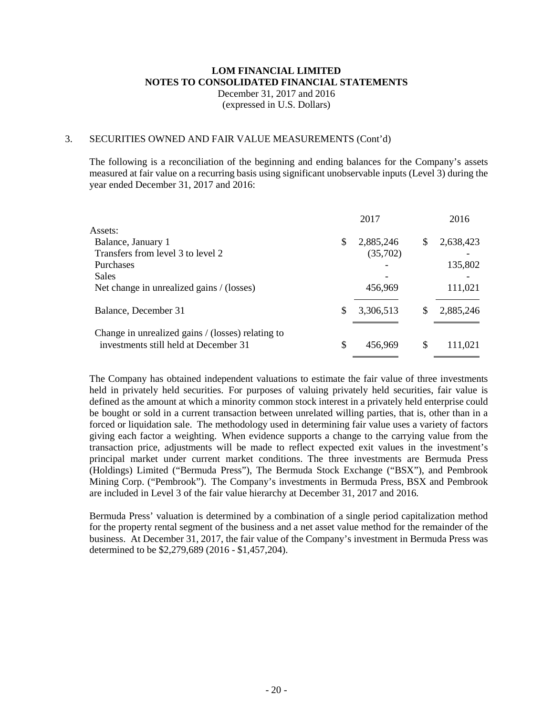# 3. SECURITIES OWNED AND FAIR VALUE MEASUREMENTS (Cont'd)

The following is a reconciliation of the beginning and ending balances for the Company's assets measured at fair value on a recurring basis using significant unobservable inputs (Level 3) during the year ended December 31, 2017 and 2016:

|                                                   |     | 2017      |     | 2016      |
|---------------------------------------------------|-----|-----------|-----|-----------|
| Assets:                                           |     |           |     |           |
| Balance, January 1                                | \$  | 2,885,246 | S   | 2,638,423 |
| Transfers from level 3 to level 2                 |     | (35,702)  |     |           |
| <b>Purchases</b>                                  |     |           |     | 135,802   |
| Sales                                             |     |           |     |           |
| Net change in unrealized gains / (losses)         |     | 456.969   |     | 111,021   |
| Balance, December 31                              | \$. | 3,306,513 | \$. | 2,885,246 |
| Change in unrealized gains / (losses) relating to |     |           |     |           |
| investments still held at December 31             | \$  | 456,969   | \$  | 111,021   |

The Company has obtained independent valuations to estimate the fair value of three investments held in privately held securities. For purposes of valuing privately held securities, fair value is defined as the amount at which a minority common stock interest in a privately held enterprise could be bought or sold in a current transaction between unrelated willing parties, that is, other than in a forced or liquidation sale. The methodology used in determining fair value uses a variety of factors giving each factor a weighting. When evidence supports a change to the carrying value from the transaction price, adjustments will be made to reflect expected exit values in the investment's principal market under current market conditions. The three investments are Bermuda Press (Holdings) Limited ("Bermuda Press"), The Bermuda Stock Exchange ("BSX"), and Pembrook Mining Corp. ("Pembrook"). The Company's investments in Bermuda Press, BSX and Pembrook are included in Level 3 of the fair value hierarchy at December 31, 2017 and 2016.

Bermuda Press' valuation is determined by a combination of a single period capitalization method for the property rental segment of the business and a net asset value method for the remainder of the business. At December 31, 2017, the fair value of the Company's investment in Bermuda Press was determined to be \$2,279,689 (2016 - \$1,457,204).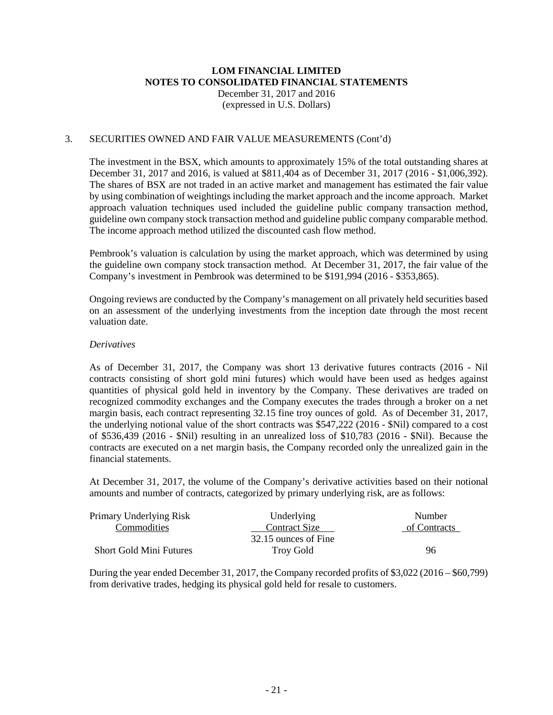# 3. SECURITIES OWNED AND FAIR VALUE MEASUREMENTS (Cont'd)

The investment in the BSX, which amounts to approximately 15% of the total outstanding shares at December 31, 2017 and 2016, is valued at \$811,404 as of December 31, 2017 (2016 - \$1,006,392). The shares of BSX are not traded in an active market and management has estimated the fair value by using combination of weightings including the market approach and the income approach. Market approach valuation techniques used included the guideline public company transaction method, guideline own company stock transaction method and guideline public company comparable method. The income approach method utilized the discounted cash flow method.

Pembrook's valuation is calculation by using the market approach, which was determined by using the guideline own company stock transaction method. At December 31, 2017, the fair value of the Company's investment in Pembrook was determined to be \$191,994 (2016 - \$353,865).

Ongoing reviews are conducted by the Company's management on all privately held securities based on an assessment of the underlying investments from the inception date through the most recent valuation date.

### *Derivatives*

As of December 31, 2017, the Company was short 13 derivative futures contracts (2016 - Nil contracts consisting of short gold mini futures) which would have been used as hedges against quantities of physical gold held in inventory by the Company. These derivatives are traded on recognized commodity exchanges and the Company executes the trades through a broker on a net margin basis, each contract representing 32.15 fine troy ounces of gold. As of December 31, 2017, the underlying notional value of the short contracts was \$547,222 (2016 - \$Nil) compared to a cost of \$536,439 (2016 - \$Nil) resulting in an unrealized loss of \$10,783 (2016 - \$Nil). Because the contracts are executed on a net margin basis, the Company recorded only the unrealized gain in the financial statements.

At December 31, 2017, the volume of the Company's derivative activities based on their notional amounts and number of contracts, categorized by primary underlying risk, are as follows:

| Primary Underlying Risk        | Underlying           | Number       |
|--------------------------------|----------------------|--------------|
| <b>Commodities</b>             | Contract Size        | of Contracts |
|                                | 32.15 ounces of Fine |              |
| <b>Short Gold Mini Futures</b> | Troy Gold            | 96.          |

During the year ended December 31, 2017, the Company recorded profits of \$3,022 (2016 – \$60,799) from derivative trades, hedging its physical gold held for resale to customers.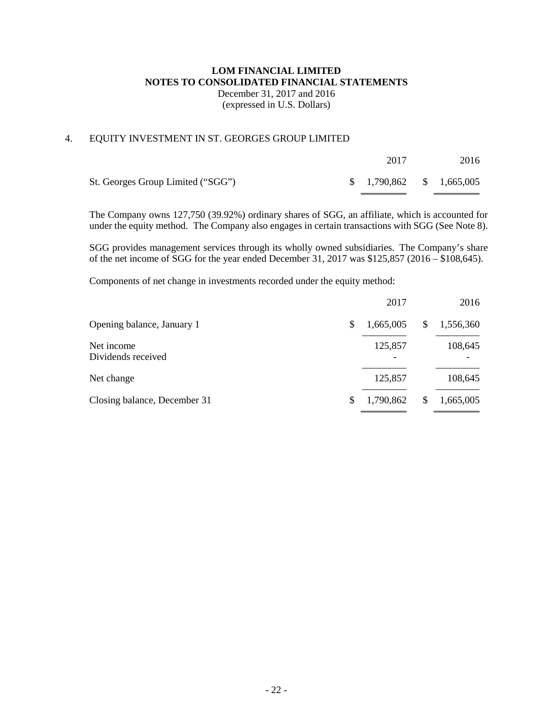(expressed in U.S. Dollars)

# 4. EQUITY INVESTMENT IN ST. GEORGES GROUP LIMITED

|                                   | 2017                      | 2016 |
|-----------------------------------|---------------------------|------|
| St. Georges Group Limited ("SGG") | $$1,790,862$ $$1,665,005$ |      |

The Company owns 127,750 (39.92%) ordinary shares of SGG, an affiliate, which is accounted for under the equity method. The Company also engages in certain transactions with SGG (See Note 8).

SGG provides management services through its wholly owned subsidiaries. The Company's share of the net income of SGG for the year ended December 31, 2017 was \$125,857 (2016 – \$108,645).

Components of net change in investments recorded under the equity method:

|                                  | 2017            | 2016            |
|----------------------------------|-----------------|-----------------|
| Opening balance, January 1       | \$<br>1,665,005 | \$<br>1,556,360 |
| Net income<br>Dividends received | 125,857         | 108,645         |
| Net change                       | 125,857         | 108,645         |
| Closing balance, December 31     | \$<br>1,790,862 | \$<br>1,665,005 |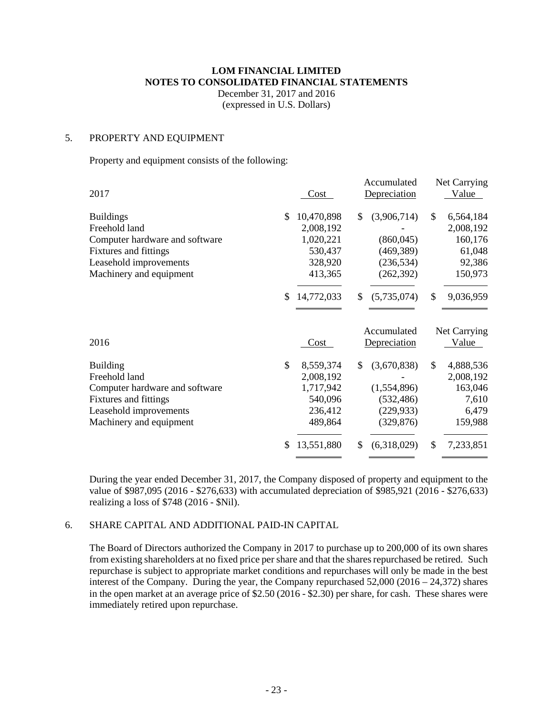December 31, 2017 and 2016 (expressed in U.S. Dollars)

### 5. PROPERTY AND EQUIPMENT

Property and equipment consists of the following:

|            |                             |                            | Net Carrying |
|------------|-----------------------------|----------------------------|--------------|
| Cost       | Depreciation                |                            | Value        |
| 10,470,898 | (3,906,714)<br>\$           | \$                         | 6,564,184    |
| 2,008,192  |                             |                            | 2,008,192    |
| 1,020,221  | (860, 045)                  |                            | 160,176      |
| 530,437    | (469, 389)                  |                            | 61,048       |
| 328,920    | (236, 534)                  |                            | 92,386       |
| 413,365    | (262, 392)                  |                            | 150,973      |
|            | (5,735,074)<br>$\mathbb{S}$ | \$                         | 9,036,959    |
|            |                             |                            | Net Carrying |
| Cost       | Depreciation                |                            | Value        |
| 8,559,374  | \$                          | \$                         | 4,888,536    |
| 2,008,192  |                             |                            | 2,008,192    |
| 1,717,942  | (1,554,896)                 |                            | 163,046      |
| 540,096    | (532, 486)                  |                            | 7,610        |
| 236,412    | (229, 933)                  |                            | 6,479        |
| 489,864    | (329, 876)                  |                            | 159,988      |
|            |                             |                            |              |
|            | 14,772,033                  | Accumulated<br>(3,670,838) |              |

During the year ended December 31, 2017, the Company disposed of property and equipment to the value of \$987,095 (2016 - \$276,633) with accumulated depreciation of \$985,921 (2016 - \$276,633) realizing a loss of \$748 (2016 - \$Nil).

# 6. SHARE CAPITAL AND ADDITIONAL PAID-IN CAPITAL

The Board of Directors authorized the Company in 2017 to purchase up to 200,000 of its own shares from existing shareholders at no fixed price per share and that the shares repurchased be retired. Such repurchase is subject to appropriate market conditions and repurchases will only be made in the best interest of the Company. During the year, the Company repurchased 52,000 (2016 – 24,372) shares in the open market at an average price of \$2.50 (2016 - \$2.30) per share, for cash. These shares were immediately retired upon repurchase.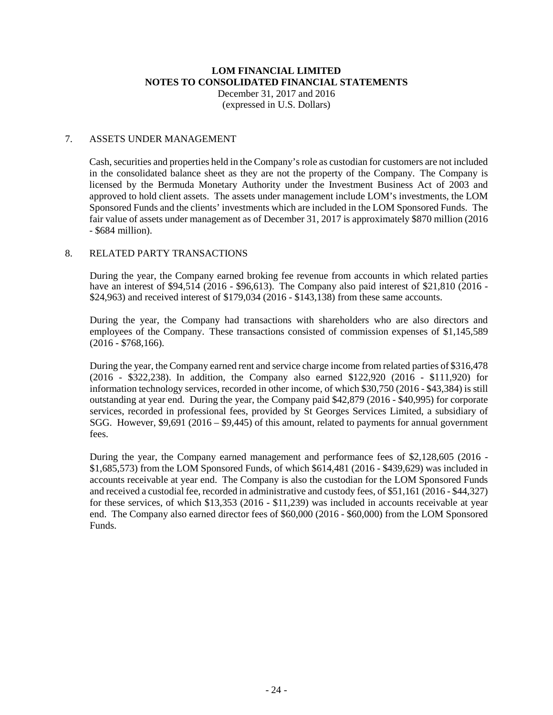December 31, 2017 and 2016 (expressed in U.S. Dollars)

### 7. ASSETS UNDER MANAGEMENT

Cash, securities and properties held in the Company's role as custodian for customers are not included in the consolidated balance sheet as they are not the property of the Company. The Company is licensed by the Bermuda Monetary Authority under the Investment Business Act of 2003 and approved to hold client assets. The assets under management include LOM's investments, the LOM Sponsored Funds and the clients' investments which are included in the LOM Sponsored Funds. The fair value of assets under management as of December 31, 2017 is approximately \$870 million (2016 - \$684 million).

### 8. RELATED PARTY TRANSACTIONS

During the year, the Company earned broking fee revenue from accounts in which related parties have an interest of \$94,514 (2016 - \$96,613). The Company also paid interest of \$21,810 (2016 -\$24,963) and received interest of \$179,034 (2016 - \$143,138) from these same accounts.

During the year, the Company had transactions with shareholders who are also directors and employees of the Company. These transactions consisted of commission expenses of \$1,145,589 (2016 - \$768,166).

During the year, the Company earned rent and service charge income from related parties of \$316,478 (2016 - \$322,238). In addition, the Company also earned \$122,920 (2016 - \$111,920) for information technology services, recorded in other income, of which \$30,750 (2016 - \$43,384) is still outstanding at year end. During the year, the Company paid \$42,879 (2016 - \$40,995) for corporate services, recorded in professional fees, provided by St Georges Services Limited, a subsidiary of SGG. However, \$9,691 (2016 – \$9,445) of this amount, related to payments for annual government fees.

During the year, the Company earned management and performance fees of \$2,128,605 (2016 - \$1,685,573) from the LOM Sponsored Funds, of which \$614,481 (2016 - \$439,629) was included in accounts receivable at year end. The Company is also the custodian for the LOM Sponsored Funds and received a custodial fee, recorded in administrative and custody fees, of \$51,161 (2016 - \$44,327) for these services, of which \$13,353 (2016 - \$11,239) was included in accounts receivable at year end. The Company also earned director fees of \$60,000 (2016 - \$60,000) from the LOM Sponsored Funds.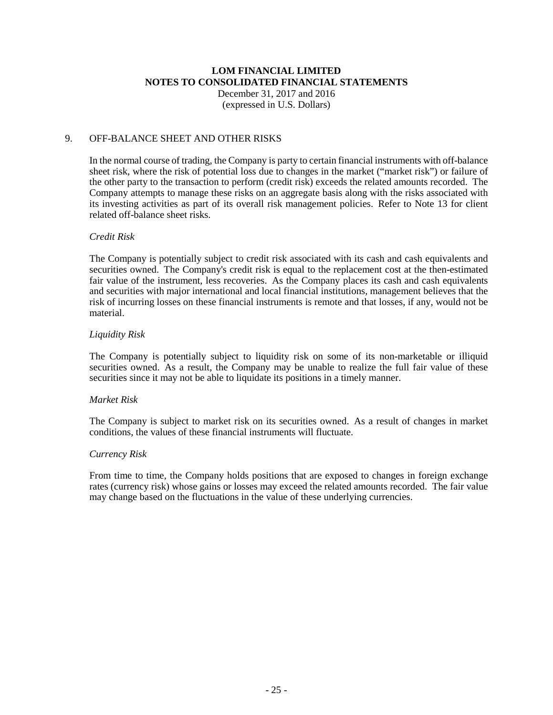(expressed in U.S. Dollars)

# 9. OFF-BALANCE SHEET AND OTHER RISKS

In the normal course of trading, the Company is party to certain financial instruments with off-balance sheet risk, where the risk of potential loss due to changes in the market ("market risk") or failure of the other party to the transaction to perform (credit risk) exceeds the related amounts recorded. The Company attempts to manage these risks on an aggregate basis along with the risks associated with its investing activities as part of its overall risk management policies. Refer to Note 13 for client related off-balance sheet risks.

# *Credit Risk*

The Company is potentially subject to credit risk associated with its cash and cash equivalents and securities owned. The Company's credit risk is equal to the replacement cost at the then-estimated fair value of the instrument, less recoveries. As the Company places its cash and cash equivalents and securities with major international and local financial institutions, management believes that the risk of incurring losses on these financial instruments is remote and that losses, if any, would not be material.

### *Liquidity Risk*

The Company is potentially subject to liquidity risk on some of its non-marketable or illiquid securities owned. As a result, the Company may be unable to realize the full fair value of these securities since it may not be able to liquidate its positions in a timely manner.

#### *Market Risk*

The Company is subject to market risk on its securities owned. As a result of changes in market conditions, the values of these financial instruments will fluctuate.

#### *Currency Risk*

From time to time, the Company holds positions that are exposed to changes in foreign exchange rates (currency risk) whose gains or losses may exceed the related amounts recorded. The fair value may change based on the fluctuations in the value of these underlying currencies.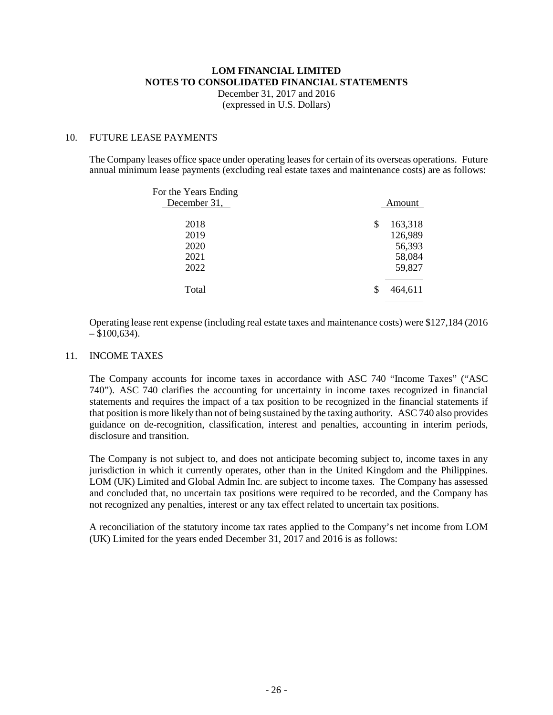(expressed in U.S. Dollars)

#### 10. FUTURE LEASE PAYMENTS

The Company leases office space under operating leases for certain of its overseas operations. Future annual minimum lease payments (excluding real estate taxes and maintenance costs) are as follows:

| For the Years Ending<br>December 31, |   | Amount  |
|--------------------------------------|---|---------|
| 2018                                 | S | 163,318 |
| 2019                                 |   | 126,989 |
| 2020                                 |   | 56,393  |
| 2021                                 |   | 58,084  |
| 2022                                 |   | 59,827  |
| Total                                | S | 464,611 |

Operating lease rent expense (including real estate taxes and maintenance costs) were \$127,184 (2016  $-$  \$100,634).

#### 11. INCOME TAXES

The Company accounts for income taxes in accordance with ASC 740 "Income Taxes" ("ASC 740"). ASC 740 clarifies the accounting for uncertainty in income taxes recognized in financial statements and requires the impact of a tax position to be recognized in the financial statements if that position is more likely than not of being sustained by the taxing authority. ASC 740 also provides guidance on de-recognition, classification, interest and penalties, accounting in interim periods, disclosure and transition.

The Company is not subject to, and does not anticipate becoming subject to, income taxes in any jurisdiction in which it currently operates, other than in the United Kingdom and the Philippines. LOM (UK) Limited and Global Admin Inc. are subject to income taxes. The Company has assessed and concluded that, no uncertain tax positions were required to be recorded, and the Company has not recognized any penalties, interest or any tax effect related to uncertain tax positions.

A reconciliation of the statutory income tax rates applied to the Company's net income from LOM (UK) Limited for the years ended December 31, 2017 and 2016 is as follows: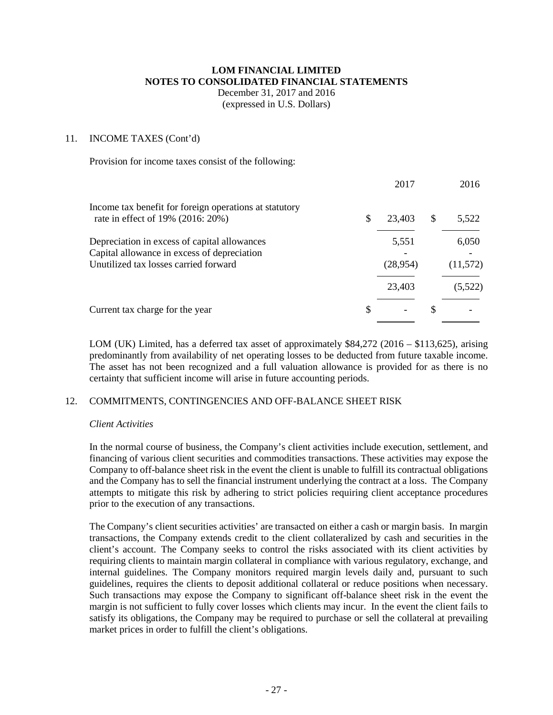December 31, 2017 and 2016 (expressed in U.S. Dollars)

# 11. INCOME TAXES (Cont'd)

Provision for income taxes consist of the following:

|                                                                                                                                      | 2017              |   | 2016              |
|--------------------------------------------------------------------------------------------------------------------------------------|-------------------|---|-------------------|
| Income tax benefit for foreign operations at statutory<br>rate in effect of 19% (2016: 20%)                                          | 23.403            | S | 5,522             |
| Depreciation in excess of capital allowances<br>Capital allowance in excess of depreciation<br>Unutilized tax losses carried forward | 5,551<br>(28,954) |   | 6,050<br>(11,572) |
|                                                                                                                                      | 23,403            |   | (5,522)           |
| Current tax charge for the year                                                                                                      |                   | S |                   |

LOM (UK) Limited, has a deferred tax asset of approximately \$84,272 (2016 – \$113,625), arising predominantly from availability of net operating losses to be deducted from future taxable income. The asset has not been recognized and a full valuation allowance is provided for as there is no certainty that sufficient income will arise in future accounting periods.

# 12. COMMITMENTS, CONTINGENCIES AND OFF-BALANCE SHEET RISK

# *Client Activities*

In the normal course of business, the Company's client activities include execution, settlement, and financing of various client securities and commodities transactions. These activities may expose the Company to off-balance sheet risk in the event the client is unable to fulfill its contractual obligations and the Company has to sell the financial instrument underlying the contract at a loss. The Company attempts to mitigate this risk by adhering to strict policies requiring client acceptance procedures prior to the execution of any transactions.

The Company's client securities activities' are transacted on either a cash or margin basis. In margin transactions, the Company extends credit to the client collateralized by cash and securities in the client's account. The Company seeks to control the risks associated with its client activities by requiring clients to maintain margin collateral in compliance with various regulatory, exchange, and internal guidelines. The Company monitors required margin levels daily and, pursuant to such guidelines, requires the clients to deposit additional collateral or reduce positions when necessary. Such transactions may expose the Company to significant off-balance sheet risk in the event the margin is not sufficient to fully cover losses which clients may incur. In the event the client fails to satisfy its obligations, the Company may be required to purchase or sell the collateral at prevailing market prices in order to fulfill the client's obligations.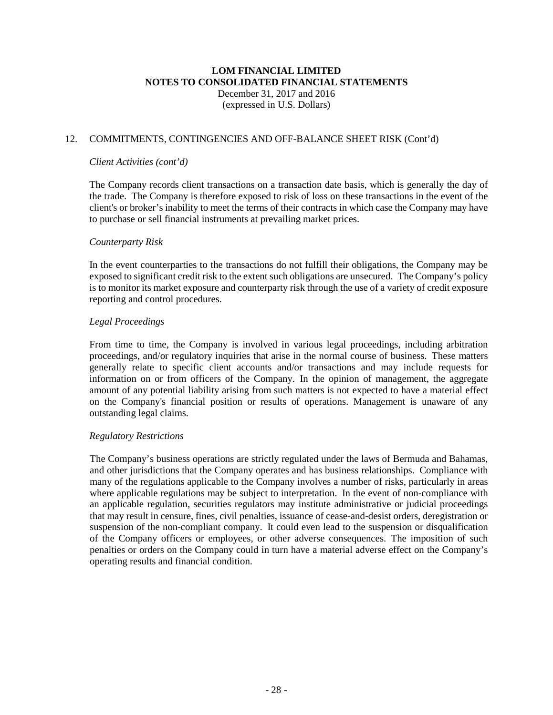# 12. COMMITMENTS, CONTINGENCIES AND OFF-BALANCE SHEET RISK (Cont'd)

#### *Client Activities (cont'd)*

The Company records client transactions on a transaction date basis, which is generally the day of the trade. The Company is therefore exposed to risk of loss on these transactions in the event of the client's or broker's inability to meet the terms of their contracts in which case the Company may have to purchase or sell financial instruments at prevailing market prices.

### *Counterparty Risk*

In the event counterparties to the transactions do not fulfill their obligations, the Company may be exposed to significant credit risk to the extent such obligations are unsecured. The Company's policy is to monitor its market exposure and counterparty risk through the use of a variety of credit exposure reporting and control procedures.

# *Legal Proceedings*

From time to time, the Company is involved in various legal proceedings, including arbitration proceedings, and/or regulatory inquiries that arise in the normal course of business. These matters generally relate to specific client accounts and/or transactions and may include requests for information on or from officers of the Company. In the opinion of management, the aggregate amount of any potential liability arising from such matters is not expected to have a material effect on the Company's financial position or results of operations. Management is unaware of any outstanding legal claims.

#### *Regulatory Restrictions*

The Company's business operations are strictly regulated under the laws of Bermuda and Bahamas, and other jurisdictions that the Company operates and has business relationships. Compliance with many of the regulations applicable to the Company involves a number of risks, particularly in areas where applicable regulations may be subject to interpretation. In the event of non-compliance with an applicable regulation, securities regulators may institute administrative or judicial proceedings that may result in censure, fines, civil penalties, issuance of cease-and-desist orders, deregistration or suspension of the non-compliant company. It could even lead to the suspension or disqualification of the Company officers or employees, or other adverse consequences. The imposition of such penalties or orders on the Company could in turn have a material adverse effect on the Company's operating results and financial condition.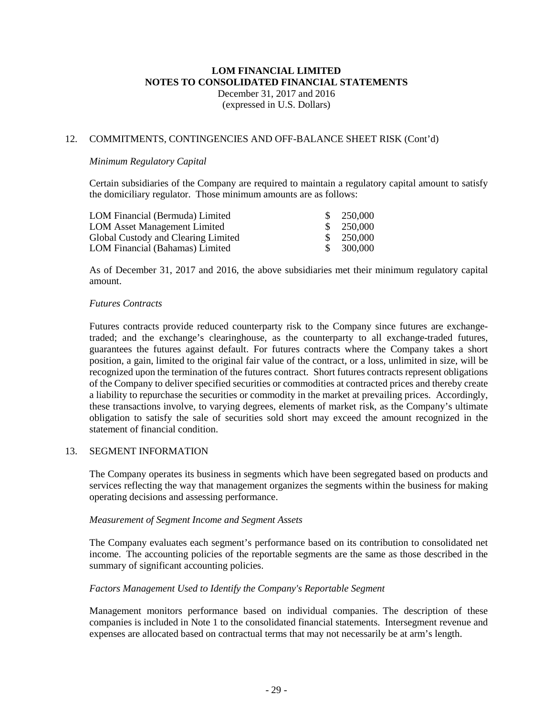# 12. COMMITMENTS, CONTINGENCIES AND OFF-BALANCE SHEET RISK (Cont'd)

#### *Minimum Regulatory Capital*

Certain subsidiaries of the Company are required to maintain a regulatory capital amount to satisfy the domiciliary regulator. Those minimum amounts are as follows:

| LOM Financial (Bermuda) Limited     | 250,000    |
|-------------------------------------|------------|
| <b>LOM Asset Management Limited</b> | 250,000    |
| Global Custody and Clearing Limited | \$ 250,000 |
| LOM Financial (Bahamas) Limited     | 300,000    |

As of December 31, 2017 and 2016, the above subsidiaries met their minimum regulatory capital amount.

### *Futures Contracts*

Futures contracts provide reduced counterparty risk to the Company since futures are exchangetraded; and the exchange's clearinghouse, as the counterparty to all exchange-traded futures, guarantees the futures against default. For futures contracts where the Company takes a short position, a gain, limited to the original fair value of the contract, or a loss, unlimited in size, will be recognized upon the termination of the futures contract. Short futures contracts represent obligations of the Company to deliver specified securities or commodities at contracted prices and thereby create a liability to repurchase the securities or commodity in the market at prevailing prices. Accordingly, these transactions involve, to varying degrees, elements of market risk, as the Company's ultimate obligation to satisfy the sale of securities sold short may exceed the amount recognized in the statement of financial condition.

# 13. SEGMENT INFORMATION

The Company operates its business in segments which have been segregated based on products and services reflecting the way that management organizes the segments within the business for making operating decisions and assessing performance.

# *Measurement of Segment Income and Segment Assets*

The Company evaluates each segment's performance based on its contribution to consolidated net income. The accounting policies of the reportable segments are the same as those described in the summary of significant accounting policies.

# *Factors Management Used to Identify the Company's Reportable Segment*

Management monitors performance based on individual companies. The description of these companies is included in Note 1 to the consolidated financial statements. Intersegment revenue and expenses are allocated based on contractual terms that may not necessarily be at arm's length.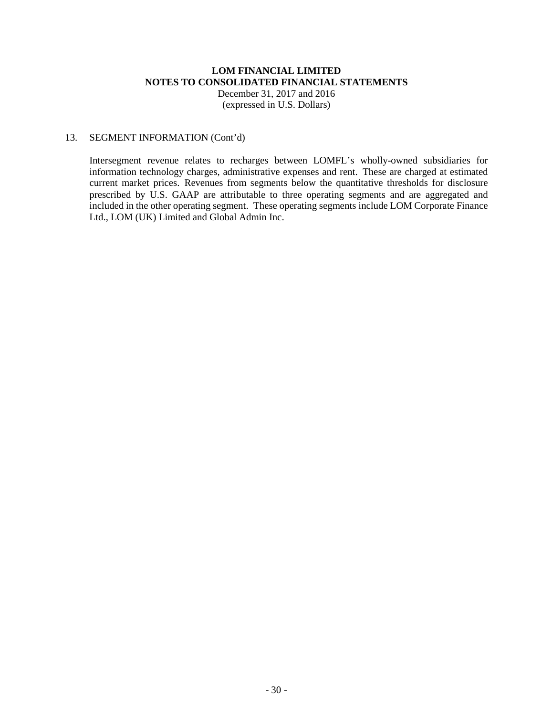December 31, 2017 and 2016 (expressed in U.S. Dollars)

### 13. SEGMENT INFORMATION (Cont'd)

Intersegment revenue relates to recharges between LOMFL's wholly-owned subsidiaries for information technology charges, administrative expenses and rent. These are charged at estimated current market prices. Revenues from segments below the quantitative thresholds for disclosure prescribed by U.S. GAAP are attributable to three operating segments and are aggregated and included in the other operating segment. These operating segments include LOM Corporate Finance Ltd., LOM (UK) Limited and Global Admin Inc.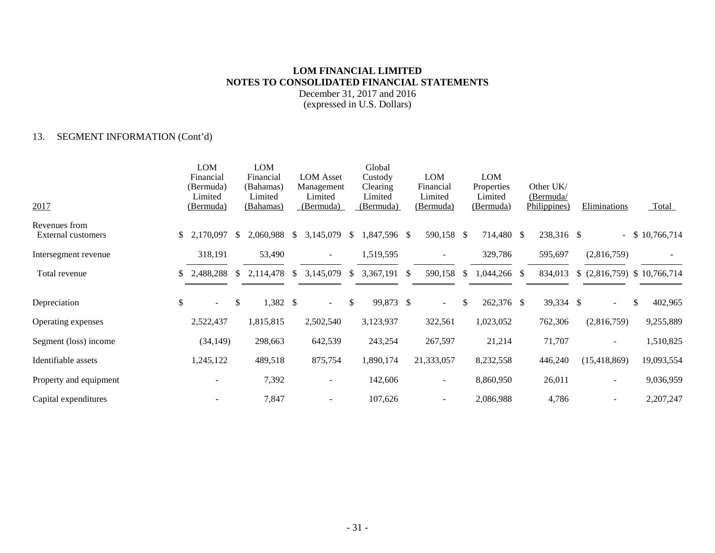(expressed in U.S. Dollars)

# 13. SEGMENT INFORMATION (Cont'd)

|                                     |     | LOM                    |               | LOM                    |               |                          |              | Global              |                          |              |                          |              |                                |               |
|-------------------------------------|-----|------------------------|---------------|------------------------|---------------|--------------------------|--------------|---------------------|--------------------------|--------------|--------------------------|--------------|--------------------------------|---------------|
|                                     |     | Financial<br>(Bermuda) |               | Financial<br>(Bahamas) |               | <b>LOM</b> Asset         |              | Custody<br>Clearing | <b>LOM</b><br>Financial  |              | <b>LOM</b><br>Properties | Other UK/    |                                |               |
|                                     |     | Limited                |               | Limited                |               | Management<br>Limited    |              | Limited             | Limited                  |              | Limited                  | (Bermuda/    |                                |               |
| 2017                                |     | (Bermuda)              |               | (Bahamas)              |               | (Bermuda)                |              | (Bermuda)           | (Bermuda)                |              | (Bermuda)                | Philippines) | Eliminations                   | Total         |
| Revenues from<br>External customers | \$  | 2,170,097              | <sup>S</sup>  | 2,060,988              | <sup>\$</sup> | 3,145,079                | <sup>S</sup> | 1,847,596 \$        | 590,158 \$               |              | 714,480 \$               | 238,316 \$   |                                | \$10,766,714  |
| Intersegment revenue                |     | 318,191                |               | 53,490                 |               | $\sim$                   |              | 1,519,595           | $\overline{\phantom{a}}$ |              | 329,786                  | 595,697      | (2,816,759)                    | $\sim$        |
| Total revenue                       | \$. | 2,488,288              | <sup>S</sup>  | 2,114,478              | -S            | 3,145,079                | <sup>S</sup> | $3,367,191$ \$      | 590,158                  | <sup>S</sup> | $1,044,266$ \$           | 834,013      | $$$ (2,816,759) $$$ 10,766,714 |               |
| Depreciation                        | \$  | $\sim$                 | <sup>\$</sup> | 1,382 \$               |               | $\sim$                   | $\mathbb{S}$ | 99,873 \$           | $\sim$                   |              | 262,376 \$               | 39,334 \$    | $\overline{a}$                 | \$<br>402,965 |
| Operating expenses                  |     | 2,522,437              |               | 1,815,815              |               | 2,502,540                |              | 3,123,937           | 322,561                  |              | 1,023,052                | 762,306      | (2,816,759)                    | 9,255,889     |
| Segment (loss) income               |     | (34, 149)              |               | 298,663                |               | 642,539                  |              | 243,254             | 267,597                  |              | 21,214                   | 71,707       |                                | 1,510,825     |
| Identifiable assets                 |     | 1,245,122              |               | 489,518                |               | 875,754                  |              | 1,890,174           | 21,333,057               |              | 8,232,558                | 446,240      | (15, 418, 869)                 | 19,093,554    |
| Property and equipment              |     |                        |               | 7,392                  |               | $\overline{\phantom{a}}$ |              | 142,606             | $\blacksquare$           |              | 8,860,950                | 26,011       |                                | 9,036,959     |
| Capital expenditures                |     |                        |               | 7,847                  |               |                          |              | 107,626             |                          |              | 2,086,988                | 4,786        |                                | 2,207,247     |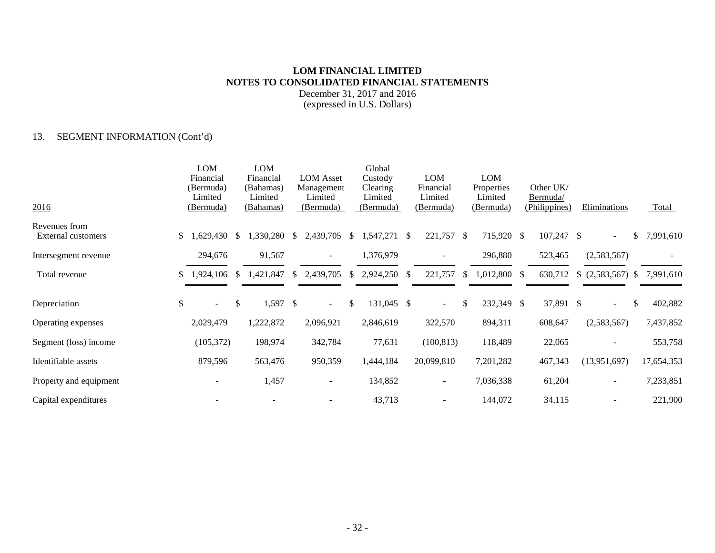(expressed in U.S. Dollars)

# 13. SEGMENT INFORMATION (Cont'd)

|                                     |    | LOM<br>Financial<br>(Bermuda) |               | LOM<br>Financial<br>(Bahamas) |               | <b>LOM</b> Asset<br>Management |               | Global<br>Custody<br>Clearing |              | <b>LOM</b><br>Financial  |              | <b>LOM</b><br>Properties |    | Other $UK/$               |                  |                 |
|-------------------------------------|----|-------------------------------|---------------|-------------------------------|---------------|--------------------------------|---------------|-------------------------------|--------------|--------------------------|--------------|--------------------------|----|---------------------------|------------------|-----------------|
| 2016                                |    | Limited<br>(Bermuda)          |               | Limited<br>(Bahamas)          |               | Limited<br>(Bermuda)           |               | Limited<br>(Bermuda)          |              | Limited<br>(Bermuda)     |              | Limited<br>(Bermuda)     |    | Bermuda/<br>(Philippines) | Eliminations     | Total           |
| Revenues from<br>External customers | \$ | 1,629,430                     | -S            | 1,330,280                     | <sup>\$</sup> | 2,439,705                      | S.            | 1,547,271                     | <sup>S</sup> | 221,757                  | - \$         | 715,920 \$               |    | 107,247 \$                | $\sim$           | \$<br>7,991,610 |
| Intersegment revenue                |    | 294,676                       |               | 91,567                        |               | $\sim$                         |               | 1,376,979                     |              | $\overline{\phantom{a}}$ |              | 296,880                  |    | 523,465                   | (2,583,567)      | $\sim$          |
| Total revenue                       | S. | 1,924,106                     | -S            | 1,421,847                     | S.            | 2,439,705                      | <sup>S</sup>  | 2,924,250                     | <sup>S</sup> | 221,757                  | <sup>S</sup> | 1,012,800                | -S | 630,712                   | $(2,583,567)$ \$ | 7,991,610       |
| Depreciation                        | \$ | $\sim$                        | <sup>\$</sup> | 1,597 \$                      |               | $\sim$                         | <sup>\$</sup> | 131,045 \$                    |              | $\sim$                   |              | 232,349 \$               |    | 37,891 \$                 | $\overline{a}$   | \$<br>402,882   |
| Operating expenses                  |    | 2,029,479                     |               | 1,222,872                     |               | 2,096,921                      |               | 2,846,619                     |              | 322,570                  |              | 894,311                  |    | 608,647                   | (2,583,567)      | 7,437,852       |
| Segment (loss) income               |    | (105,372)                     |               | 198,974                       |               | 342,784                        |               | 77,631                        |              | (100, 813)               |              | 118,489                  |    | 22,065                    |                  | 553,758         |
| Identifiable assets                 |    | 879,596                       |               | 563,476                       |               | 950,359                        |               | 1,444,184                     |              | 20,099,810               |              | 7,201,282                |    | 467,343                   | (13,951,697)     | 17,654,353      |
| Property and equipment              |    |                               |               | 1,457                         |               | $\overline{\phantom{a}}$       |               | 134,852                       |              | $\overline{\phantom{a}}$ |              | 7,036,338                |    | 61,204                    |                  | 7,233,851       |
| Capital expenditures                |    |                               |               |                               |               |                                |               | 43,713                        |              | $\overline{\phantom{a}}$ |              | 144,072                  |    | 34,115                    |                  | 221,900         |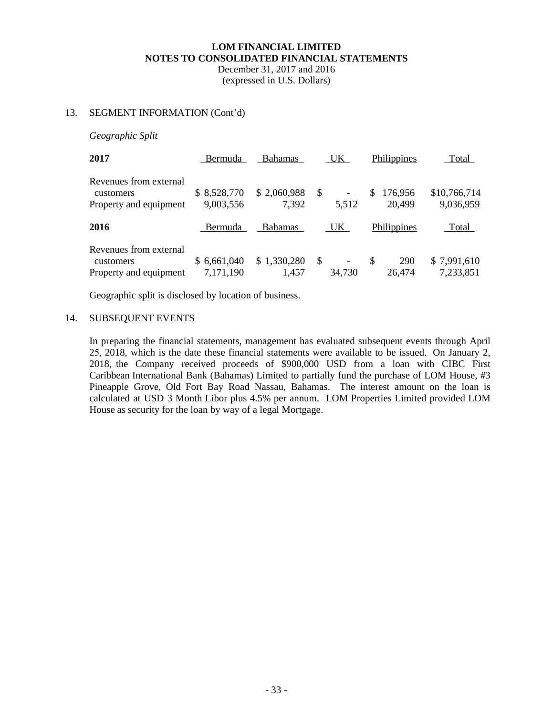December 31, 2017 and 2016 (expressed in U.S. Dollars)

### 13. SEGMENT INFORMATION (Cont'd)

*Geographic Split*

| 2017                                                          | Bermuda                  | <b>Bahamas</b>       | UK                    | Philippines              | Total                     |
|---------------------------------------------------------------|--------------------------|----------------------|-----------------------|--------------------------|---------------------------|
| Revenues from external<br>customers<br>Property and equipment | \$8,528,770<br>9,003,556 | \$2,060,988<br>7,392 | $\mathbb{S}$<br>5,512 | 176,956<br>\$.<br>20,499 | \$10,766,714<br>9,036,959 |
| 2016                                                          | Bermuda                  | <b>Bahamas</b>       | UK.                   | Philippines              | Total                     |
| Revenues from external<br>customers                           | \$6,661,040              | \$1,330,280          | \$                    | \$<br>290                | \$7,991,610               |
| Property and equipment                                        | 7,171,190                | 1,457                | 34,730                | 26,474                   | 7,233,851                 |

Geographic split is disclosed by location of business.

# 14. SUBSEQUENT EVENTS

In preparing the financial statements, management has evaluated subsequent events through April 25, 2018, which is the date these financial statements were available to be issued. On January 2, 2018, the Company received proceeds of \$900,000 USD from a loan with CIBC First Caribbean International Bank (Bahamas) Limited to partially fund the purchase of LOM House, #3 Pineapple Grove, Old Fort Bay Road Nassau, Bahamas. The interest amount on the loan is calculated at USD 3 Month Libor plus 4.5% per annum. LOM Properties Limited provided LOM House as security for the loan by way of a legal Mortgage.